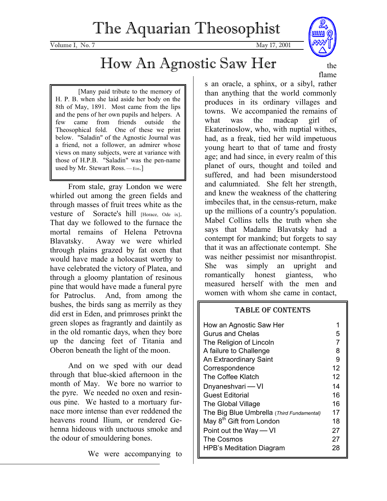Volume I, No. 7 May 17, 2001

# How An Agnostic Saw Her

[Many paid tribute to the memory of H. P. B. when she laid aside her body on the 8th of May, 1891. Most came from the lips and the pens of her own pupils and helpers. A few came from friends outside the Theosophical fold. One of these we print below. "Saladin" of the Agnostic Journal was a friend, not a follower, an admirer whose views on many subjects, were at variance with those of H.P.B. "Saladin" was the pen-name used by Mr. Stewart Ross.  $-$  EDS.]

From stale, gray London we were whirled out among the green fields and through masses of fruit trees white as the vesture of Soracte's hill [Horace, Ode ix]. That day we followed to the furnace the mortal remains of Helena Petrovna Blavatsky. Away we were whirled through plains grazed by fat oxen that would have made a holocaust worthy to have celebrated the victory of Platea, and through a gloomy plantation of resinous pine that would have made a funeral pyre for Patroclus. And, from among the bushes, the birds sang as merrily as they did erst in Eden, and primroses prinkt the green slopes as fragrantly and daintily as in the old romantic days, when they bore up the dancing feet of Titania and Oberon beneath the light of the moon.

And on we sped with our dead through that blue-skied afternoon in the month of May. We bore no warrior to the pyre. We needed no oxen and resinous pine. We hasted to a mortuary furnace more intense than ever reddened the heavens round Ilium, or rendered Gehenna hideous with unctuous smoke and the odour of smouldering bones.

We were accompanying to



the flame

s an oracle, a sphinx, or a sibyl, rather than anything that the world commonly produces in its ordinary villages and towns. We accompanied the remains of what was the madcap girl of Ekaterinoslow, who, with nuptial withes, had, as a freak, tied her wild impetuous young heart to that of tame and frosty age; and had since, in every realm of this planet of ours, thought and toiled and suffered, and had been misunderstood and calumniated. She felt her strength, and knew the weakness of the chattering imbeciles that, in the census-return, make up the millions of a country's population. Mabel Collins tells the truth when she says that Madame Blavatsky had a contempt for mankind; but forgets to say that it was an affectionate contempt. She was neither pessimist nor misanthropist. She was simply an upright and romantically honest giantess, who measured herself with the men and women with whom she came in contact,

### TABLE OF CONTENTS

| How an Agnostic Saw Her                   |    |
|-------------------------------------------|----|
| Gurus and Chelas                          | 5  |
| The Religion of Lincoln                   | 7  |
| A failure to Challenge                    | 8  |
| An Extraordinary Saint                    | 9  |
| Correspondence                            | 12 |
| The Coffee Klatch                         | 12 |
| Dnyaneshvari - VI                         | 14 |
| Guest Editorial                           | 16 |
| The Global Village                        | 16 |
| The Big Blue Umbrella (Third Fundamental) | 17 |
| May 8 <sup>th</sup> Gift from London      | 18 |
| Point out the Way — VI                    | 27 |
| The Cosmos                                | 27 |
| <b>HPB's Meditation Diagram</b>           | 28 |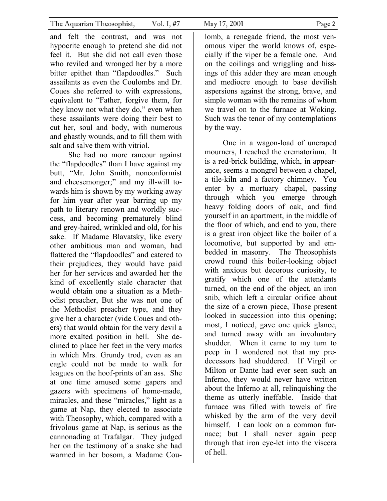and felt the contrast, and was not hypocrite enough to pretend she did not feel it. But she did not call even those who reviled and wronged her by a more bitter epithet than "flapdoodles." Such assailants as even the Coulombs and Dr. Coues she referred to with expressions, equivalent to "Father, forgive them, for they know not what they do," even when these assailants were doing their best to cut her, soul and body, with numerous and ghastly wounds, and to fill them with salt and salve them with vitriol.

She had no more rancour against the "flapdoodles" than I have against my butt, "Mr. John Smith, nonconformist and cheesemonger;" and my ill-will towards him is shown by my working away for him year after year barring up my path to literary renown and worldly success, and becoming prematurely blind and grey-haired, wrinkled and old, for his sake. If Madame Blavatsky, like every other ambitious man and woman, had flattered the "flapdoodles" and catered to their prejudices, they would have paid her for her services and awarded her the kind of excellently stale character that would obtain one a situation as a Methodist preacher, But she was not one of the Methodist preacher type, and they give her a character (vide Coues and others) that would obtain for the very devil a more exalted position in hell. She declined to place her feet in the very marks in which Mrs. Grundy trod, even as an eagle could not be made to walk for leagues on the hoof-prints of an ass. She at one time amused some gapers and gazers with specimens of home-made, miracles, and these "miracles," light as a game at Nap, they elected to associate with Theosophy, which, compared with a frivolous game at Nap, is serious as the cannonading at Trafalgar. They judged her on the testimony of a snake she had warmed in her bosom, a Madame Coulomb, a renegade friend, the most venomous viper the world knows of, especially if the viper be a female one. And on the coilings and wriggling and hissings of this adder they are mean enough and mediocre enough to base devilish aspersions against the strong, brave, and simple woman with the remains of whom we travel on to the furnace at Woking. Such was the tenor of my contemplations by the way.

One in a wagon-load of uncraped mourners, I reached the crematorium. It is a red-brick building, which, in appearance, seems a mongrel between a chapel, a tile-kiln and a factory chimney. You enter by a mortuary chapel, passing through which you emerge through heavy folding doors of oak, and find yourself in an apartment, in the middle of the floor of which, and end to you, there is a great iron object like the boiler of a locomotive, but supported by and embedded in masonry. The Theosophists crowd round this boiler-looking object with anxious but decorous curiosity, to gratify which one of the attendants turned, on the end of the object, an iron snib, which left a circular orifice about the size of a crown piece, Those present looked in succession into this opening; most, I noticed, gave one quick glance, and turned away with an involuntary shudder. When it came to my turn to peep in I wondered not that my predecessors had shuddered. If Virgil or Milton or Dante had ever seen such an Inferno, they would never have written about the Inferno at all, relinquishing the theme as utterly ineffable. Inside that furnace was filled with towels of fire whisked by the arm of the very devil himself. I can look on a common furnace; but I shall never again peep through that iron eye-let into the viscera of hell.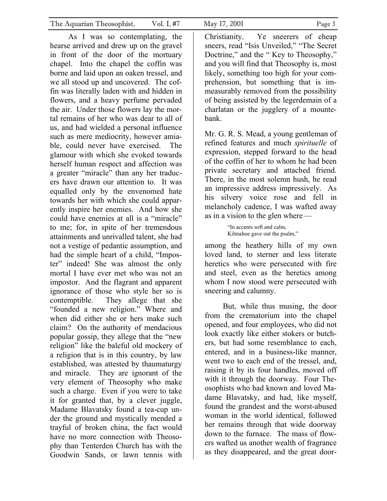As I was so contemplating, the hearse arrived and drew up on the gravel in front of the door of the mortuary chapel. Into the chapel the coffin was borne and laid upon an oaken tressel, and we all stood up and uncovered. The coffin was literally laden with and hidden in flowers, and a heavy perfume pervaded the air. Under those flowers lay the mortal remains of her who was dear to all of us, and had wielded a personal influence such as mere mediocrity, however amiable, could never have exercised. The glamour with which she evoked towards herself human respect and affection was a greater "miracle" than any her traducers have drawn our attention to. It was equalled only by the envenomed hate towards her with which she could apparently inspire her enemies. And how she could have enemies at all is a "miracle" to me; for, in spite of her tremendous attainments and unrivalled talent, she had not a vestige of pedantic assumption, and had the simple heart of a child, "Imposter" indeed! She was almost the only mortal I have ever met who was not an impostor. And the flagrant and apparent ignorance of those who style her so is contemptible. They allege that she "founded a new religion." Where and when did either she or hers make such claim? On the authority of mendacious popular gossip, they allege that the "new religion" like the baleful old mockery of a religion that is in this country, by law established, was attested by thaumaturgy and miracle. They are ignorant of the very element of Theosophy who make such a charge. Even if you were to take it for granted that, by a clever juggle, Madame Blavatsky found a tea-cup under the ground and mystically mended a trayful of broken china, the fact would have no more connection with Theosophy than Tenterden Church has with the

Goodwin Sands, or lawn tennis with

Christianity. Ye sneerers of cheap sneers, read "Isis Unveiled," "The Secret Doctrine," and the " Key to Theosophy," and you will find that Theosophy is, most likely, something too high for your comprehension, but something that is immeasurably removed from the possibility of being assisted by the legerdemain of a charlatan or the jugglery of a mountebank.

Mr. G. R. S. Mead, a young gentleman of refined features and much *spirituelle* of expression, stepped forward to the head of the coffin of her to whom he had been private secretary and attached friend. There, in the most solemn hush, he read an impressive address impressively. As his silvery voice rose and fell in melancholy cadence, I was wafted away as in a vision to the glen where—

> "In accents soft and calm, Kilmahoe gave out the psalm,"

among the heathery hills of my own loved land, to sterner and less literate heretics who were persecuted with fire and steel, even as the heretics among whom I now stood were persecuted with sneering and calumny.

But, while thus musing, the door from the crematorium into the chapel opened, and four employees, who did not look exactly like either stokers or butchers, but had some resemblance to each, entered, and in a business-like manner, went two to each end of the tressel, and, raising it by its four handles, moved off with it through the doorway. Four Theosophists who had known and loved Madame Blavatsky, and had, like myself, found the grandest and the worst-abused woman in the world identical, followed her remains through that wide doorway down to the furnace. The mass of flowers wafted us another wealth of fragrance as they disappeared, and the great door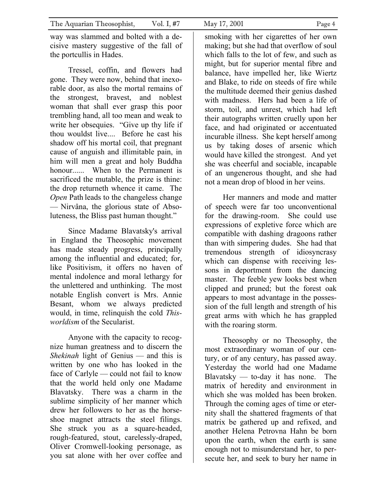way was slammed and bolted with a decisive mastery suggestive of the fall of the portcullis in Hades.

Tressel, coffin, and flowers had gone. They were now, behind that inexorable door, as also the mortal remains of the strongest, bravest, and noblest woman that shall ever grasp this poor trembling hand, all too mean and weak to write her obsequies. "Give up thy life if thou wouldst live.... Before he cast his shadow off his mortal coil, that pregnant cause of anguish and illimitable pain, in him will men a great and holy Buddha honour...... When to the Permanent is sacrificed the mutable, the prize is thine: the drop returneth whence it came. The *Open Path leads to the changeless change* — Nirvâna, the glorious state of Absoluteness, the Bliss past human thought."

Since Madame Blavatsky's arrival in England the Theosophic movement has made steady progress, principally among the influential and educated; for, like Positivism, it offers no haven of mental indolence and moral lethargy for the unlettered and unthinking. The most notable English convert is Mrs. Annie Besant, whom we always predicted would, in time, relinquish the cold *Thisworldism* of the Secularist.

Anyone with the capacity to recognize human greatness and to discern the *Shekinah* light of Genius — and this is written by one who has looked in the face of Carlyle — could not fail to know that the world held only one Madame Blavatsky. There was a charm in the sublime simplicity of her manner which drew her followers to her as the horseshoe magnet attracts the steel filings. She struck you as a square-headed, rough-featured, stout, carelessly-draped, Oliver Cromwell-looking personage, as you sat alone with her over coffee and smoking with her cigarettes of her own making; but she had that overflow of soul which falls to the lot of few, and such as might, but for superior mental fibre and balance, have impelled her, like Wiertz and Blake, to ride on steeds of fire while the multitude deemed their genius dashed with madness. Hers had been a life of storm, toil, and unrest, which had left their autographs written cruelly upon her face, and had originated or accentuated incurable illness. She kept herself among us by taking doses of arsenic which would have killed the strongest. And yet she was cheerful and sociable, incapable of an ungenerous thought, and she had not a mean drop of blood in her veins.

Her manners and mode and matter of speech were far too unconventional for the drawing-room. She could use expressions of expletive force which are compatible with dashing dragoons rather than with simpering dudes. She had that tremendous strength of idiosyncrasy which can dispense with receiving lessons in deportment from the dancing master. The feeble yew looks best when clipped and pruned; but the forest oak appears to most advantage in the possession of the full length and strength of his great arms with which he has grappled with the roaring storm.

Theosophy or no Theosophy, the most extraordinary woman of our century, or of any century, has passed away. Yesterday the world had one Madame Blavatsky — to-day it has none. The matrix of heredity and environment in which she was molded has been broken. Through the coming ages of time or eternity shall the shattered fragments of that matrix be gathered up and refixed, and another Helena Petrovna Hahn be born upon the earth, when the earth is sane enough not to misunderstand her, to persecute her, and seek to bury her name in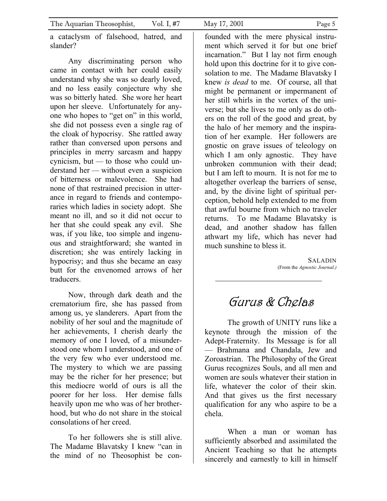a cataclysm of falsehood, hatred, and slander?

Any discriminating person who came in contact with her could easily understand why she was so dearly loved, and no less easily conjecture why she was so bitterly hated. She wore her heart upon her sleeve. Unfortunately for anyone who hopes to "get on" in this world, she did not possess even a single rag of the cloak of hypocrisy. She rattled away rather than conversed upon persons and principles in merry sarcasm and happy cynicism, but — to those who could understand her — without even a suspicion of bitterness or malevolence. She had none of that restrained precision in utterance in regard to friends and contemporaries which ladies in society adopt. She meant no ill, and so it did not occur to her that she could speak any evil. She was, if you like, too simple and ingenuous and straightforward; she wanted in discretion; she was entirely lacking in hypocrisy; and thus she became an easy butt for the envenomed arrows of her traducers.

Now, through dark death and the crematorium fire, she has passed from among us, ye slanderers. Apart from the nobility of her soul and the magnitude of her achievements, I cherish dearly the memory of one I loved, of a misunderstood one whom I understood, and one of the very few who ever understood me. The mystery to which we are passing may be the richer for her presence; but this mediocre world of ours is all the poorer for her loss. Her demise falls heavily upon me who was of her brotherhood, but who do not share in the stoical consolations of her creed.

To her followers she is still alive. The Madame Blavatsky I knew "can in the mind of no Theosophist be confounded with the mere physical instrument which served it for but one brief incarnation." But I lay not firm enough hold upon this doctrine for it to give consolation to me. The Madame Blavatsky I knew *is dead* to me. Of course, all that might be permanent or impermanent of her still whirls in the vortex of the universe; but she lives to me only as do others on the roll of the good and great, by the halo of her memory and the inspiration of her example. Her followers are gnostic on grave issues of teleology on which I am only agnostic. They have unbroken communion with their dead; but I am left to mourn. It is not for me to altogether overleap the barriers of sense, and, by the divine light of spiritual perception, behold help extended to me from that awful bourne from which no traveler returns. To me Madame Blavatsky is dead, and another shadow has fallen athwart my life, which has never had much sunshine to bless it.

> SALADIN (From the *Agnostic Journal.)*

# Gurus & Chelas

The growth of UNITY runs like a keynote through the mission of the Adept-Fraternity. Its Message is for all — Brahmana and Chandala, Jew and Zoroastrian. The Philosophy of the Great Gurus recognizes Souls, and all men and women are souls whatever their station in life, whatever the color of their skin. And that gives us the first necessary qualification for any who aspire to be a chela.

When a man or woman has sufficiently absorbed and assimilated the Ancient Teaching so that he attempts sincerely and earnestly to kill in himself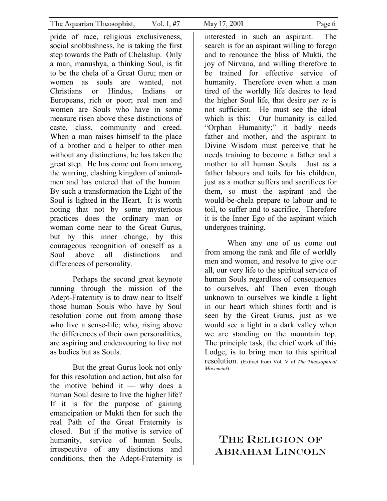pride of race, religious exclusiveness, social snobbishness, he is taking the first step towards the Path of Chelaship. Only a man, manushya, a thinking Soul, is fit to be the chela of a Great Guru; men or women as souls are wanted not Christians or Hindus, Indians or Europeans, rich or poor; real men and women are Souls who have in some measure risen above these distinctions of caste, class, community and creed. When a man raises himself to the place of a brother and a helper to other men without any distinctions, he has taken the great step. He has come out from among the warring, clashing kingdom of animalmen and has entered that of the human. By such a transformation the Light of the Soul is lighted in the Heart. It is worth noting that not by some mysterious practices does the ordinary man or woman come near to the Great Gurus, but by this inner change, by this courageous recognition of oneself as a Soul above all distinctions and differences of personality.

 Perhaps the second great keynote running through the mission of the Adept-Fraternity is to draw near to Itself those human Souls who have by Soul resolution come out from among those who live a sense-life; who, rising above the differences of their own personalities, are aspiring and endeavouring to live not as bodies but as Souls.

 But the great Gurus look not only for this resolution and action, but also for the motive behind it — why does a human Soul desire to live the higher life? If it is for the purpose of gaining emancipation or Mukti then for such the real Path of the Great Fraternity is closed. But if the motive is service of humanity, service of human Souls, irrespective of any distinctions and conditions, then the Adept-Fraternity is

interested in such an aspirant. The search is for an aspirant willing to forego and to renounce the bliss of Mukti, the joy of Nirvana, and willing therefore to be trained for effective service of humanity. Therefore even when a man tired of the worldly life desires to lead the higher Soul life, that desire *per se* is not sufficient. He must see the ideal which is this: Our humanity is called "Orphan Humanity;" it badly needs father and mother, and the aspirant to Divine Wisdom must perceive that he needs training to become a father and a mother to all human Souls. Just as a father labours and toils for his children, just as a mother suffers and sacrifices for them, so must the aspirant and the would-be-chela prepare to labour and to toil, to suffer and to sacrifice. Therefore it is the Inner Ego of the aspirant which undergoes training.

 When any one of us come out from among the rank and file of worldly men and women, and resolve to give our all, our very life to the spiritual service of human Souls regardless of consequences to ourselves, ah! Then even though unknown to ourselves we kindle a light in our heart which shines forth and is seen by the Great Gurus, just as we would see a light in a dark valley when we are standing on the mountain top. The principle task, the chief work of this Lodge, is to bring men to this spiritual resolution. (Extract from Vol. V of *The Theosophical Movement*)

### THE RELIGION OF ABRAHAM LINCOLN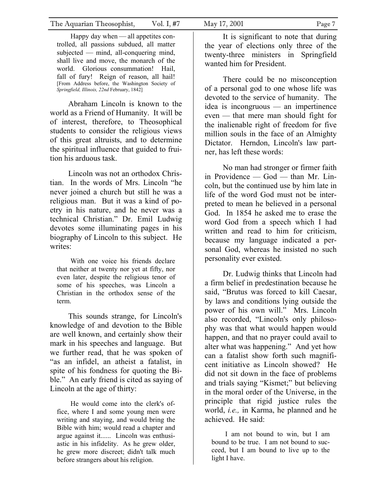Happy day when — all appetites controlled, all passions subdued, all matter subjected — mind, all-conquering mind, shall live and move, the monarch of the world. Glorious consummation! Hail, fall of fury! Reign of reason, all hail! [From Address before, the Washington Society of *Springfield, Illinois, 22nd* February, 1842]

Abraham Lincoln is known to the world as a Friend of Humanity. It will be of interest, therefore, to Theosophical students to consider the religious views of this great altruists, and to determine the spiritual influence that guided to fruition his arduous task.

Lincoln was not an orthodox Christian. In the words of Mrs. Lincoln "he never joined a church but still he was a religious man. But it was a kind of poetry in his nature, and he never was a technical Christian." Dr. Emil Ludwig devotes some illuminating pages in his biography of Lincoln to this subject. He writes:

With one voice his friends declare that neither at twenty nor yet at fifty, nor even later, despite the religious tenor of some of his speeches, was Lincoln a Christian in the orthodox sense of the term.

This sounds strange, for Lincoln's knowledge of and devotion to the Bible are well known, and certainly show their mark in his speeches and language. But we further read, that he was spoken of "as an infidel, an atheist a fatalist, in spite of his fondness for quoting the Bible." An early friend is cited as saying of Lincoln at the age of thirty:

He would come into the clerk's office, where I and some young men were writing and staying, and would bring the Bible with him; would read a chapter and argue against it...... Lincoln was enthusiastic in his infidelity. As he grew older, he grew more discreet; didn't talk much before strangers about his religion.

It is significant to note that during the year of elections only three of the twenty-three ministers in Springfield wanted him for President.

There could be no misconception of a personal god to one whose life was devoted to the service of humanity. The idea is incongruous — an impertinence even — that mere man should fight for the inalienable right of freedom for five million souls in the face of an Almighty Dictator. Herndon, Lincoln's law partner, has left these words:

No man had stronger or firmer faith in Providence — God — than Mr. Lincoln, but the continued use by him late in life of the word God must not be interpreted to mean he believed in a personal God. In 1854 he asked me to erase the word God from a speech which I had written and read to him for criticism, because my language indicated a personal God, whereas he insisted no such personality ever existed.

Dr. Ludwig thinks that Lincoln had a firm belief in predestination because he said, "Brutus was forced to kill Caesar, by laws and conditions lying outside the power of his own will." Mrs. Lincoln also recorded, "Lincoln's only philosophy was that what would happen would happen, and that no prayer could avail to alter what was happening." And yet how can a fatalist show forth such magnificent initiative as Lincoln showed? He did not sit down in the face of problems and trials saying "Kismet;" but believing in the moral order of the Universe, in the principle that rigid justice rules the world, *i.e.,* in Karma, he planned and he achieved. He said:

I am not bound to win, but I am bound to be true. I am not bound to succeed, but I am bound to live up to the light I have.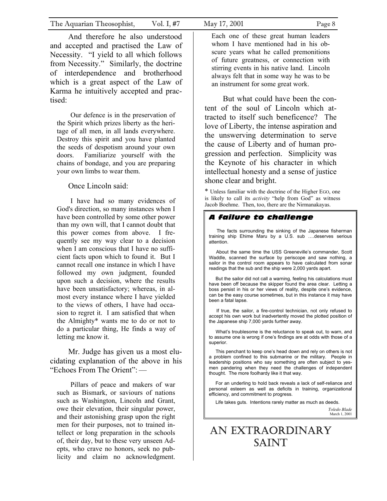And therefore he also understood and accepted and practised the Law of Necessity. "I yield to all which follows from Necessity." Similarly, the doctrine of interdependence and brotherhood which is a great aspect of the Law of Karma he intuitively accepted and practised:

Our defence is in the preservation of the Spirit which prizes liberty as the heritage of all men, in all lands everywhere. Destroy this spirit and you have planted the seeds of despotism around your own doors. Familiarize yourself with the chains of bondage, and you are preparing your own limbs to wear them.

### Once Lincoln said:

I have had so many evidences of God's direction, so many instances when I have been controlled by some other power than my own will, that I cannot doubt that this power comes from above. I frequently see my way clear to a decision when I am conscious that I have no sufficient facts upon which to found it. But I cannot recall one instance in which I have followed my own judgment, founded upon such a decision, where the results have been unsatisfactory; whereas, in almost every instance where I have yielded to the views of others, I have had occasion to regret it. I am satisfied that when the Almighty\* wants me to do or not to do a particular thing, He finds a way of letting me know it.

Mr. Judge has given us a most elucidating explanation of the above in his "Echoes From The Orient":—

Pillars of peace and makers of war such as Bismark, or saviours of nations such as Washington, Lincoln and Grant, owe their elevation, their singular power, and their astonishing grasp upon the right men for their purposes, not to trained intellect or long preparation in the schools of, their day, but to these very unseen Adepts, who crave no honors, seek no publicity and claim no acknowledgment.

Each one of these great human leaders whom I have mentioned had in his obscure years what he called premonitions of future greatness, or connection with stirring events in his native land. Lincoln always felt that in some way he was to be an instrument for some great work.

But what could have been the content of the soul of Lincoln which attracted to itself such beneficence? The love of Liberty, the intense aspiration and the unswerving determination to serve the cause of Liberty and of human progression and perfection. Simplicity was the Keynote of his character in which intellectual honesty and a sense of justice shone clear and bright.

\* Unless familiar with the doctrine of the Higher EGO, one is likely to call its *activity* "help from God" as witness Jacob Boehme. Then, too, there are the Nirmanakayas.

### *A failure to challenge*

The facts surrounding the sinking of the Japanese fisherman training ship Ehime Maru by a U.S. sub ….deserves serious attention.

About the same time the USS Greeneville's commander, Scott Waddle, scanned the surface by periscope and saw nothing, a sailor in the control room appears to have calculated from sonar readings that the sub and the ship were 2,000 yards apart.

But the sailor did not call a warning, feeling his calculations must have been off because the skipper found the area clear. Letting a boss persist in his or her views of reality, despite one's evidence, can be the easy course sometimes, but in this instance it may have been a fatal lapse.

 If true, the sailor, a fire-control technician, not only refused to accept his own work but inadvertently moved the plotted position of the Japanese ship 7,000 yards further away.

What's troublesome is the reluctance to speak out, to warn, and to assume one is wrong if one's findings are at odds with those of a superior.

 This penchant to keep one's head down and rely on others is not a problem confined to this submarine or the military. People in leadership positions who say something are often subject to yesmen pandering when they need the challenges of independent thought. The more foolhardy like it that way.

For an underling to hold back reveals a lack of self-reliance and personal esteem as well as deficits in training, organizational efficiency, and commitment to progress.

Life takes guts. Intentions rarely matter as much as deeds.

*Toledo Blade* March 1, 2001

## AN EXTRAORDINARY SAINT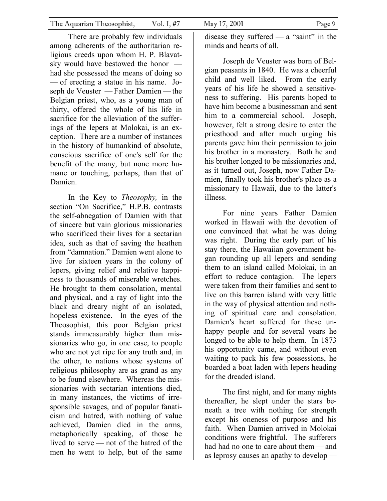There are probably few individuals among adherents of the authoritarian religious creeds upon whom H. P. Blavatsky would have bestowed the honor had she possessed the means of doing so — of erecting a statue in his name. Joseph de Veuster — Father Damien — the Belgian priest, who, as a young man of thirty, offered the whole of his life in sacrifice for the alleviation of the sufferings of the lepers at Molokai, is an exception. There are a number of instances in the history of humankind of absolute, conscious sacrifice of one's self for the benefit of the many, but none more humane or touching, perhaps, than that of Damien.

In the Key to *Theosophy,* in the section "On Sacrifice," H.P.B. contrasts the self-abnegation of Damien with that of sincere but vain glorious missionaries who sacrificed their lives for a sectarian idea, such as that of saving the heathen from "damnation." Damien went alone to live for sixteen years in the colony of lepers, giving relief and relative happiness to thousands of miserable wretches. He brought to them consolation, mental and physical, and a ray of light into the black and dreary night of an isolated, hopeless existence. In the eyes of the Theosophist, this poor Belgian priest stands immeasurably higher than missionaries who go, in one case, to people who are not yet ripe for any truth and, in the other, to nations whose systems of religious philosophy are as grand as any to be found elsewhere. Whereas the missionaries with sectarian intentions died, in many instances, the victims of irresponsible savages, and of popular fanaticism and hatred, with nothing of value achieved, Damien died in the arms, metaphorically speaking, of those he lived to serve — not of the hatred of the men he went to help, but of the same

disease they suffered — a "saint" in the minds and hearts of all.

Joseph de Veuster was born of Belgian peasants in 1840. He was a cheerful child and well liked. From the early years of his life he showed a sensitiveness to suffering. His parents hoped to have him become a businessman and sent him to a commercial school. Joseph, however, felt a strong desire to enter the priesthood and after much urging his parents gave him their permission to join his brother in a monastery. Both he and his brother longed to be missionaries and, as it turned out, Joseph, now Father Damien, finally took his brother's place as a missionary to Hawaii, due to the latter's illness.

For nine years Father Damien worked in Hawaii with the devotion of one convinced that what he was doing was right. During the early part of his stay there, the Hawaiian government began rounding up all lepers and sending them to an island called Molokai, in an effort to reduce contagion. The lepers were taken from their families and sent to live on this barren island with very little in the way of physical attention and nothing of spiritual care and consolation. Damien's heart suffered for these unhappy people and for several years he longed to be able to help them. In 1873 his opportunity came, and without even waiting to pack his few possessions, he boarded a boat laden with lepers heading for the dreaded island.

The first night, and for many nights thereafter, he slept under the stars beneath a tree with nothing for strength except his oneness of purpose and his faith. When Damien arrived in Molokai conditions were frightful. The sufferers had had no one to care about them — and as leprosy causes an apathy to develop —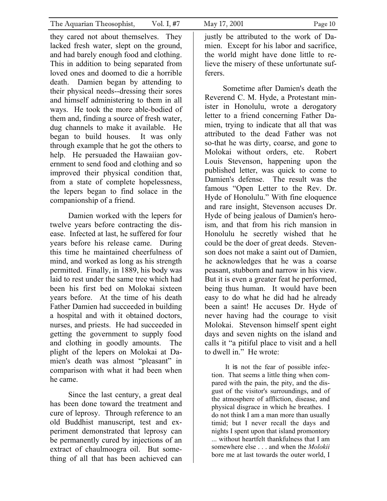they cared not about themselves. They lacked fresh water, slept on the ground, and had barely enough food and clothing. This in addition to being separated from loved ones and doomed to die a horrible death. Damien began by attending to their physical needs--dressing their sores and himself administering to them in all ways. He took the more able-bodied of them and, finding a source of fresh water, dug channels to make it available. He began to build houses. It was only through example that he got the others to help. He persuaded the Hawaiian government to send food and clothing and so improved their physical condition that, from a state of complete hopelessness, the lepers began to find solace in the companionship of a friend.

Damien worked with the lepers for twelve years before contracting the disease. Infected at last, he suffered for four years before his release came. During this time he maintained cheerfulness of mind, and worked as long as his strength permitted. Finally, in 1889, his body was laid to rest under the same tree which had been his first bed on Molokai sixteen years before. At the time of his death Father Damien had succeeded in building a hospital and with it obtained doctors, nurses, and priests. He had succeeded in getting the government to supply food and clothing in goodly amounts. The plight of the lepers on Molokai at Damien's death was almost "pleasant" in comparison with what it had been when he came.

Since the last century, a great deal has been done toward the treatment and cure of leprosy. Through reference to an old Buddhist manuscript, test and experiment demonstrated that leprosy can be permanently cured by injections of an extract of chaulmoogra oil. But something of all that has been achieved can

justly be attributed to the work of Damien. Except for his labor and sacrifice, the world might have done little to relieve the misery of these unfortunate sufferers.

Sometime after Damien's death the Reverend C. M. Hyde, a Protestant minister in Honolulu, wrote a derogatory letter to a friend concerning Father Damien, trying to indicate that all that was attributed to the dead Father was not so-that he was dirty, coarse, and gone to Molokai without orders, etc. Robert Louis Stevenson, happening upon the published letter, was quick to come to Damien's defense. The result was the famous "Open Letter to the Rev. Dr. Hyde of Honolulu." With fine eloquence and rare insight, Stevenson accuses Dr. Hyde of being jealous of Damien's heroism, and that from his rich mansion in Honolulu he secretly wished that he could be the doer of great deeds. Stevenson does not make a saint out of Damien, he acknowledges that he was a coarse peasant, stubborn and narrow in his view. But it is even a greater feat he performed, being thus human. It would have been easy to do what he did had he already been a saint! He accuses Dr. Hyde of never having had the courage to visit Molokai. Stevenson himself spent eight days and seven nights on the island and calls it "a pitiful place to visit and a hell to dwell in." He wrote:

It is not the fear of possible infection. That seems a little thing when compared with the pain, the pity, and the disgust of the visitor's surroundings, and of the atmosphere of affliction, disease, and physical disgrace in which he breathes. I do not think I am a man more than usually timid; but I never recall the days and nights I spent upon that island promontory ... without heartfelt thankfulness that I am somewhere else . . . and when the *Molokii*  bore me at last towards the outer world, I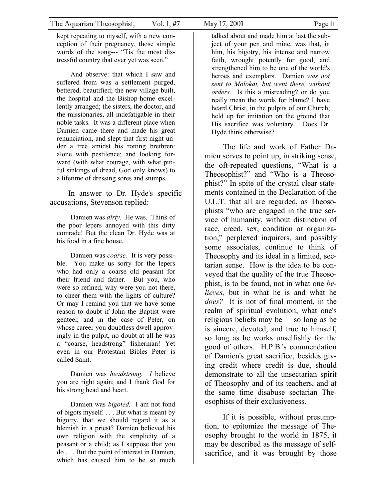kept repeating to myself, with a new conception of their pregnancy, those simple words of the song--- "Tis the most distressful country that ever yet was seen."

And observe: that which I saw and suffered from was a settlement purged, bettered, beautified; the new village built, the hospital and the Bishop-home excellently arranged; the sisters, the doctor, and the missionaries, all indefatigable in their noble tasks. It was a different place when Damien came there and made his great renunciation, and slept that first night under a tree amidst his rotting brethren: alone with pestilence; and looking forward (with what courage, with what pitiful sinkings of dread, God only knows) to a lifetime of dressing sores and stumps.

In answer to Dr. Hyde's specific accusations, Stevenson replied:

Damien was *dirty.* He was. Think of the poor lepers annoyed with this dirty comrade! But the clean Dr. Hyde was at his food in a fine house.

Damien was *coarse.* It is very possible. You make us sorry for the lepers who had only a coarse old peasant for their friend and father. But you, who were so refined, why were you not there, to cheer them with the lights of culture? Or may I remind you that we have some reason to doubt if John the Baptist were genteel; and in the case of Peter, on whose career you doubtless dwell approvingly in the pulpit, no doubt at all he was a "coarse, headstrong" fisherman! Yet even in our Protestant Bibles Peter is called Saint.

Damien was *headstrong. I* believe you are right again; and I thank God for his strong head and heart.

Damien was *bigoted.* I am not fond of bigots myself. . . . But what is meant by bigotry, that we should regard it as a blemish in a priest? Damien believed his own religion with the simplicity of a peasant or a child; as I suppose that you do . . . But the point of interest in Damien, which has caused him to be so much

talked about and made him at last the subject of your pen and mine, was that, in him, his bigotry, his intense and narrow faith, wrought potently for good, and strengthened him to be one of the world's heroes and exemplars. Damien *was not sent to Molokai, but went there, without orders.* Is this a misreading? or do you really mean the words for blame? I have heard Christ, in the pulpits of our Church, held up for imitation on the ground that His sacrifice was voluntary. Does Dr. Hyde think otherwise?

The life and work of Father Damien serves to point up, in striking sense, the oft-repeated questions, "What is a Theosophist?" and "Who is a Theosophist?" In spite of the crystal clear statements contained in the Declaration of the U.L.T. that all are regarded, as Theosophists "who are engaged in the true service of humanity, without distinction of race, creed, sex, condition or organization," perplexed inquirers, and possibly some associates, continue to think of Theosophy and its ideal in a limited, sectarian sense. How is the idea to be conveyed that the quality of the true Theosophist, is to be found, not in what one *believes,* but in what he is and what he *does?* It is not of final moment, in the realm of spiritual evolution, what one's religious beliefs may be — so long as he is sincere, devoted, and true to himself, so long as he works unselfishly for the good of others. H.P.B.'s commendation of Damien's great sacrifice, besides giving credit where credit is due, should demonstrate to all the unsectarian spirit of Theosophy and of its teachers, and at the same time disabuse sectarian Theosophists of their exclusiveness.

If it is possible, without presumption, to epitomize the message of Theosophy brought to the world in 1875, it may be described as the message of selfsacrifice, and it was brought by those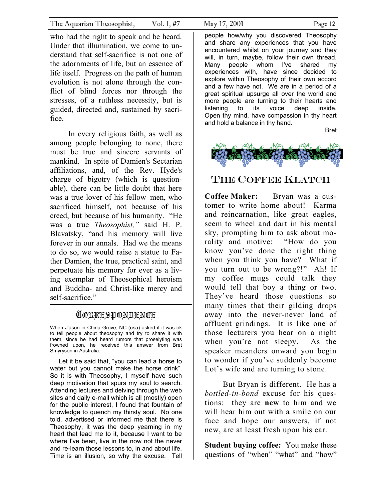who had the right to speak and be heard. Under that illumination, we come to understand that self-sacrifice is not one of the adornments of life, but an essence of life itself. Progress on the path of human evolution is not alone through the conflict of blind forces nor through the stresses, of a ruthless necessity, but is guided, directed and, sustained by sacrifice.

In every religious faith, as well as among people belonging to none, there must be true and sincere servants of mankind. In spite of Damien's Sectarian affiliations, and, of the Rev. Hyde's charge of bigotry (which is questionable), there can be little doubt that here was a true lover of his fellow men, who sacrificed himself, not because of his creed, but because of his humanity. "He was a true *Theosophist,"* said H. P. Blavatsky, "and his memory will live forever in our annals. Had we the means to do so, we would raise a statue to Father Damien, the true, practical saint, and perpetuate his memory for ever as a living exemplar of Theosophical heroism and Buddha- and Christ-like mercy and self-sacrifice."

### CORRESPONDENCE

When J'ason in China Grove, NC (usa) asked if it was ok to tell people about theosophy and try to share it with them, since he had heard rumors that proselyting was frowned upon, he received this answer from Bret Smyryson in Australia:

Let it be said that, "you can lead a horse to water but you cannot make the horse drink". So it is with Theosophy, I myself have such deep motivation that spurs my soul to search. Attending lectures and delving through the web sites and daily e-mail which is all (mostly) open for the public interest, I found that fountain of knowledge to quench my thirsty soul. No one told, advertised or informed me that there is Theosophy, it was the deep yearning in my heart that lead me to it, because I want to be where I've been, live in the now not the never and re-learn those lessons to, in and about life. Time is an illusion, so why the excuse. Tell

people how/why you discovered Theosophy and share any experiences that you have encountered whilst on your journey and they will, in turn, maybe, follow their own thread. Many people whom I've shared my experiences with, have since decided to explore within Theosophy of their own accord and a few have not. We are in a period of a great spiritual upsurge all over the world and more people are turning to their hearts and listening to its voice deep inside. Open thy mind, have compassion in thy heart and hold a balance in thy hand.

Bret



### THE COFFEE KLATCH

**Coffee Maker:** Bryan was a customer to write home about! Karma and reincarnation, like great eagles, seem to wheel and dart in his mental sky, prompting him to ask about morality and motive: "How do you know you've done the right thing when you think you have? What if you turn out to be wrong?!" Ah! If my coffee mugs could talk they would tell that boy a thing or two. They've heard those questions so many times that their gilding drops away into the never-never land of affluent grindings. It is like one of those lecturers you hear on a night when you're not sleepy. As the speaker meanders onward you begin to wonder if you've suddenly become Lot's wife and are turning to stone.

But Bryan is different. He has a *bottled-in-bond* excuse for his questions: they are **new** to him and we will hear him out with a smile on our face and hope our answers, if not new, are at least fresh upon his ear.

**Student buying coffee:** You make these questions of "when" "what" and "how"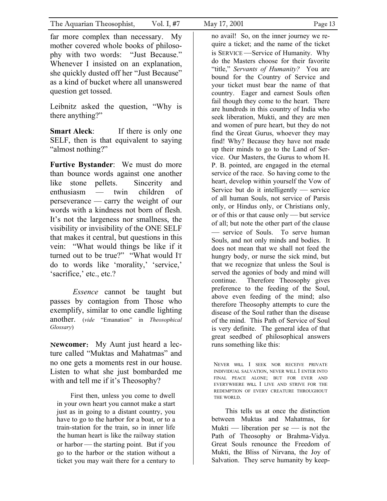far more complex than necessary. My mother covered whole books of philosophy with two words: "Just Because." Whenever I insisted on an explanation, she quickly dusted off her "Just Because" as a kind of bucket where all unanswered question get tossed.

Leibnitz asked the question, "Why is there anything?"

**Smart Aleck:** If there is only one SELF, then is that equivalent to saying "almost nothing?"

**Furtive Bystander**: We must do more than bounce words against one another like stone pellets. Sincerity and enthusiasm — twin children of perseverance — carry the weight of our words with a kindness not born of flesh. It's not the largeness nor smallness, the visibility or invisibility of the ONE SELF that makes it central, but questions in this vein: "What would things be like if it turned out to be true?" "What would IT do to words like 'morality,' 'service,' 'sacrifice,' etc., etc.?

*Essence* cannot be taught but passes by contagion from Those who exemplify, similar to one candle lighting another. (*vide* "Emanation" in *Theosophical Glossary*)

N**ewcomer**: My Aunt just heard a lecture called "Muktas and Mahatmas" and no one gets a moments rest in our house. Listen to what she just bombarded me with and tell me if it's Theosophy?

First then, unless you come to dwell in your own heart you cannot make a start just as in going to a distant country, you have to go to the harbor for a boat, or to a train-station for the train, so in inner life the human heart is like the railway station or harbor — the starting point. But if you go to the harbor or the station without a ticket you may wait there for a century to no avail! So, on the inner journey we require a ticket; and the name of the ticket is SERVICE —Service of Humanity. Why do the Masters choose for their favorite "title," *Servants of Humanity?* You are bound for the Country of Service and your ticket must bear the name of that country. Eager and earnest Souls often fail though they come to the heart. There are hundreds in this country of India who seek liberation, Mukti, and they are men and women of pure heart, but they do not find the Great Gurus, whoever they may find! Why? Because they have not made up their minds to go to the Land of Service. Our Masters, the Gurus to whom H. P. B. pointed, are engaged in the eternal service of the race. So having come to the heart, develop within yourself the Vow of Service but do it intelligently — service of all human Souls, not service of Parsis only, or Hindus only, or Christians only, or of this or that cause only — but service of all; but note the other part of the clause — service of Souls. To serve human Souls, and not only minds and bodies. It does not mean that we shall not feed the hungry body, or nurse the sick mind, but that we recognize that unless the Soul is served the agonies of body and mind will continue. Therefore Theosophy gives preference to the feeding of the Soul, above even feeding of the mind; also therefore Theosophy attempts to cure the disease of the Soul rather than the disease of the mind. This Path of Service of Soul is very definite. The general idea of that great seedbed of philosophical answers runs something like this:

NEVER WILL I SEEK NOR RECEIVE PRIVATE INDIVIDUAL SALVATION, NEVER WILL I ENTER INTO FINAL PEACE ALONE; BUT FOR EVER AND EVERYWHERE WILL I LIVE AND STRIVE FOR THE REDEMPTION OF EVERY CREATURE THROUGHOUT THE WORLD.

This tells us at once the distinction between Muktas and Mahatmas, for Mukti — liberation per  $se$  — is not the Path of Theosophy or Brahma-Vidya. Great Souls renounce the Freedom of Mukti, the Bliss of Nirvana, the Joy of Salvation. They serve humanity by keep-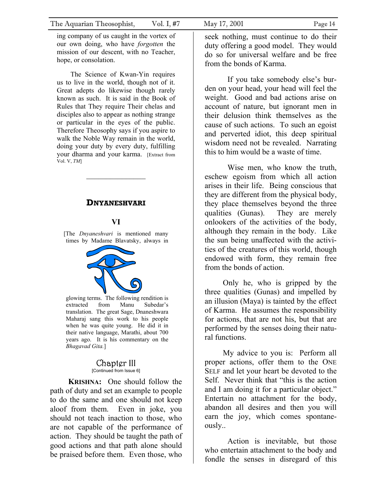ing company of us caught in the vortex of our own doing, who have *forgotten* the mission of our descent, with no Teacher, hope, or consolation.

The Science of Kwan-Yin requires us to live in the world, though not of it. Great adepts do likewise though rarely known as such. It is said in the Book of Rules that They require Their chelas and disciples also to appear as nothing strange or particular in the eyes of the public. Therefore Theosophy says if you aspire to walk the Noble Way remain in the world, doing your duty by every duty, fulfilling your dharma and your karma. [Extract from Vol. V, *TM*]

### **DNYANESHVARI**

 $\mathcal{L}=\mathcal{L}^{\mathcal{L}}$ 

### **VI**

[The *Dnyaneshvari* is mentioned many times by Madame Blavatsky, always in



glowing terms. The following rendition is extracted from Manu Subedar's translation. The great Sage, Dnaneshwara Maharaj sang this work to his people when he was quite young. He did it in their native language, Marathi, about 700 years ago. It is his commentary on the *Bhagavad Gita.*]

### Chapter III [Continued from Issue 6]

**KRISHNA:** One should follow the path of duty and set an example to people to do the same and one should not keep aloof from them. Even in joke, you should not teach inaction to those, who are not capable of the performance of action. They should be taught the path of good actions and that path alone should be praised before them. Even those, who

seek nothing, must continue to do their duty offering a good model. They would do so for universal welfare and be free from the bonds of Karma.

If you take somebody else's burden on your head, your head will feel the weight. Good and bad actions arise on account of nature, but ignorant men in their delusion think themselves as the cause of such actions. To such an egoist and perverted idiot, this deep spiritual wisdom need not be revealed. Narrating this to him would be a waste of time.

Wise men, who know the truth, eschew egoism from which all action arises in their life. Being conscious that they are different from the physical body, they place themselves beyond the three qualities (Gunas). They are merely onlookers of the activities of the body, although they remain in the body. Like the sun being unaffected with the activities of the creatures of this world, though endowed with form, they remain free from the bonds of action.

Only he, who is gripped by the three qualities (Gunas) and impelled by an illusion (Maya) is tainted by the effect of Karma. He assumes the responsibility for actions, that are not his, but that are performed by the senses doing their natural functions.

My advice to you is: Perform all proper actions, offer them to the ONE SELF and let your heart be devoted to the Self. Never think that "this is the action and I am doing it for a particular object." Entertain no attachment for the body, abandon all desires and then you will earn the joy, which comes spontaneously..

Action is inevitable, but those who entertain attachment to the body and fondle the senses in disregard of this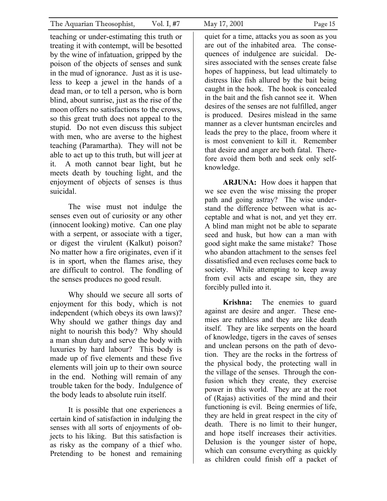teaching or under-estimating this truth or treating it with contempt, will be besotted by the wine of infatuation, gripped by the poison of the objects of senses and sunk in the mud of ignorance. Just as it is useless to keep a jewel in the hands of a dead man, or to tell a person, who is born blind, about sunrise, just as the rise of the moon offers no satisfactions to the crows, so this great truth does not appeal to the stupid. Do not even discuss this subject with men, who are averse to the highest teaching (Paramartha). They will not be able to act up to this truth, but will jeer at it. A moth cannot bear light, but he meets death by touching light, and the enjoyment of objects of senses is thus suicidal.

The wise must not indulge the senses even out of curiosity or any other (innocent looking) motive. Can one play with a serpent, or associate with a tiger, or digest the virulent (Kalkut) poison? No matter how a fire originates, even if it is in sport, when the flames arise, they are difficult to control. The fondling of the senses produces no good result.

Why should we secure all sorts of enjoyment for this body, which is not independent (which obeys its own laws)? Why should we gather things day and night to nourish this body? Why should a man shun duty and serve the body with luxuries by hard labour? This body is made up of five elements and these five elements will join up to their own source in the end. Nothing will remain of any trouble taken for the body. Indulgence of the body leads to absolute ruin itself.

It is possible that one experiences a certain kind of satisfaction in indulging the senses with all sorts of enjoyments of objects to his liking. But this satisfaction is as risky as the company of a thief who. Pretending to be honest and remaining

quiet for a time, attacks you as soon as you are out of the inhabited area. The consequences of indulgence are suicidal. Desires associated with the senses create false hopes of happiness, but lead ultimately to distress like fish allured by the bait being caught in the hook. The hook is concealed in the bait and the fish cannot see it. When desires of the senses are not fulfilled, anger is produced. Desires mislead in the same manner as a clever huntsman encircles and leads the prey to the place, froom where it is most convenient to kill it. Remember that desire and anger are both fatal. Therefore avoid them both and seek only selfknowledge.

**ARJUNA:** How does it happen that we see even the wise missing the proper path and going astray? The wise understand the difference between what is acceptable and what is not, and yet they err. A blind man might not be able to separate seed and husk, but how can a man with good sight make the same mistake? Those who abandon attachment to the senses feel dissatisfied and even recluses come back to society. While attempting to keep away from evil acts and escape sin, they are forcibly pulled into it.

**Krishna:** The enemies to guard against are desire and anger. These enemies are ruthless and they are like death itself. They are like serpents on the hoard of knowledge, tigers in the caves of senses and unclean persons on the path of devotion. They are the rocks in the fortress of the physical body, the protecting wall in the village of the senses. Through the confusion which they create, they exercise power in this world. They are at the root of (Rajas) activities of the mind and their functioning is evil. Being enermies of life, they are held in great respect in the city of death. There is no limit to their hunger, and hope itself increases their activities. Delusion is the younger sister of hope, which can consume everything as quickly as children could finish off a packet of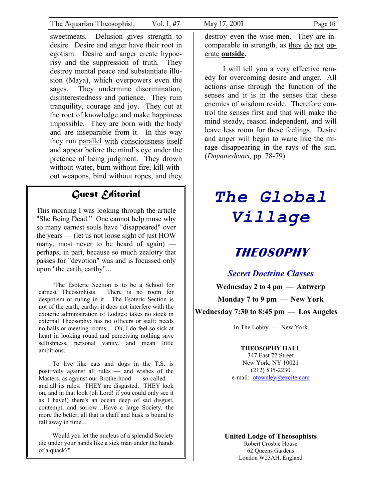sweetmeats. Delusion gives strength to desire. Desire and anger have their root in egotism. Desire and anger create hypocrisy and the suppression of truth. They destroy mental peace and substantiate illusion (Maya), which overpowers even the sages. They undermine discrimination, disinterestedness and patience. They ruin tranquility, courage and joy. They cut at the root of knowledge and make happiness impossible. They are born with the body and are inseparable from it. In this way they run parallel with consciousness itself and appear before the mind's eye under the pretence of being judgment. They drown without water, burn without fire, kill without weapons, bind without ropes, and they

### *Guest Editorial*

This morning I was looking through the article "She Being Dead." One cannot help muse why so many earnest souls have "disappeared" over the years — (let us not loose sight of just HOW many, most never to be heard of again) perhaps, in part, because so much zealotry that passes for "devotion" was and is focussed only upon "the earth, earthy"...

"The Esoteric Section is to be a School for earnest Theosophists. There is no room for despotism or ruling in it….The Esoteric Section is not of the earth, earthy; it does not interfere with the exoteric administration of Lodges; takes no stock in external Theosophy; has no officers or staff; needs no halls or meeting rooms... Oh, I do feel so sick at heart in looking round and perceiving nothing save selfishness, personal vanity, and mean little ambitions.

To live like cats and dogs in the T.S. is positively against all rules — and wishes of the Masters, as against our Brotherhood — so-called and all its rules. THEY are disgusted. THEY look on, and in that look (oh Lord! if you could only see it as I have!) there's an ocean deep of sad disgust, contempt, and sorrow…Have a large Society, the more the better; all that is chaff and husk is bound to fall away in time...

Would you let the nucleus of a splendid Society die under your hands like a sick man under the hands of a quack?"

destroy even the wise men. They are incomparable in strength, as they do not operate **outside.**

I will tell you a very effective remedy for overcoming desire and anger. All actions arise through the function of the senses and it is in the senses that these enemies of wisdom reside. Therefore control the senses first and that will make the mind steady, reason independent, and will leave less room for these feelings. Desire and anger will begin to wane like the mirage disappearing in the rays of the sun. (*Dnyaneshvari,* pp. 78-79)

# *The Global Village*

# **THEOSOPHY**

### *Secret Doctrine Classes*

**Wednesday 2 to 4 pm — Antwerp Monday 7 to 9 pm — New York Wednesday 7:30 to 8:45 pm — Los Angeles** 

In The Lobby — New York

### **THEOSOPHY HALL**

347 East 72 Street New York, NY 10021 (212) 535-2230 e-mail: [otownley@excite.com](mailto:otownley@excite.com)

**United Lodge of Theosophists**  Robert Crosbie House 62 Queens Gardens London W23AH, England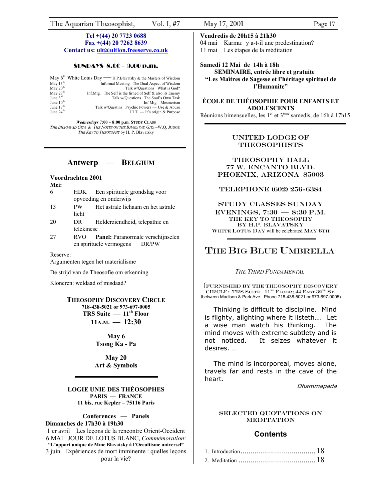# **Contact us: [ult@ultlon.freeserve.co.uk](mailto:ult@ultlon.freeserve.co.uk)** 11 mai Les étapes de la méditation

### SUNDAYS 8 **Samedi 12 Mai de 14h à 18h** .00 - 9.00 p.m.

| "Les Maîtres de Sagesse et l'hé | May $6th$ White Lotus Day — H.P. Blavatsky & the Masters of Wisdom |               |
|---------------------------------|--------------------------------------------------------------------|---------------|
| l'Humanite"                     | Informal Meeting The Dual Aspect of Wisdom                         | May $13th$    |
|                                 | Talk w/Questions What is God?                                      | May $20th$    |
|                                 | Inf. Mtg. The Self is the firmed of Self $\&$ also its Enemy       | May $27th$    |
|                                 | Talk w/Questions The Soul's Own Task                               | June $3^{rd}$ |
| <b>ÉCOLE DE THÉOSOPHIE PO</b>   | Inf Mtg. Mesmerism                                                 | June $10th$   |
| <b>ADOLESCEN</b>                | Talk w/Questins Psychic Powers — Use & Abuse                       | June $17th$   |
| $11 \t1 \t1$ $1$ $1$            | $ULT - It's origin & Purpose$                                      | June $24th$   |

*Wednesdays* **7:00 – 8:00 p.m. STUDY CLASS** *THE BHAGAVAD GITA & THE NOTES ON THE BHAGAVAD GITA* –W.Q. JUDGE *THE KEY TO THEOSOPHY* by H. P. Blavatsky

- **Mei:**<br> **EXELEPHONE (602) 256-6384 FIGURE EXECUTE: FIGURE (602) 256-6384**
- licht
- 20 DR Helderziendheid, telepathie en BY H.P. BLAVATSKY
- 27 RVO **Panel:** Paranormale verschijnselen en spirituele vermogens DR/PW

Argumenten tegen het materialisme

De strijd van de Theosofie om erkenning *THE THIRD FUNDAMENTAL* 

## THEOSOPHY DISCOVERY CIRCLE<br>
<sup>(between Madison & Park Ave. Phone 718-438-5021 or 973-697-0005)<br>
Thinking is difficult to discipline. Mind</sup> **TRS Suite — 11th Floor**

**11A.M. — 12:30** 

**May 6 Tsong Ka - Pa**

**Art & Symbols** 

Dhammapada **LOGIE UNIE DES THÉOSOPHES PARIS — FRANCE 11 bis, rue Kepler – 75116 Paris** 

## **Dimanches de 17h30 à 19h30**

1 er avril Les leçons de la rencontre Orient-Occident **Contents** 6 MAI JOUR DE LOTUS BLANC, *Commémoration*: **"L'apport unique de Mme Blavatsky à l'Occultisme universel"** 3 juin Expériences de mort imminente : quelles leçons.

### **Tel +(44) 20 7723 0688 Vendredis de 20h15 à 21h30**

**Fax +(44) 20 7262 8639** 04 mai Karma: y a-t-il une predestination?

# **SEMINAIRE, entrée libre et gratuite**  "Les Maîtres de Sagesse et l'héritage spirituel de

### **ÉCOLE DE THÉOSOPHIE POUR ENFANTS ET ADOLESCENTS**

Réunions bimensuelles, les  $1<sup>er</sup>$  et  $3<sup>ème</sup>$  samedis, de 16h à 17h15

### UNITED LODGE OF THEOSOPHISTS

Antwerp — BELGIUM **THEOSOPHY HALL 77 W. ENCANTO BLVD.** Voordrachten 2001 **Voordrachten 2001 PHOENIX, ARIZONA** 85003

opvoeding en onderwijs<br>
PW Het astrale lichaam en het astrale<br>
STUDY CLASSES SUNDAY eventings and the strate lichaam en het astrale<br>
licht EVENINGS, 7:30 – 8:30 P.M.<br>
THE KEY TO THEOSOPHY EXTERIGNATION CONSULTING BY H.P. BLAVATSKY<br>
WHITE LOTUS DAY will be celebrated MAY 6TH

### Reserve: THE BIG BLUE UMBRELLA

Kloneren: weldaad of misdaad? {FURNISHED BY The Theosophy Discovery CIRCLE: TRS SUITE –  $11^{TH}$  FLOOR; 44 EAST  $32^{ND}$  ST.

> Thinking is difficult to discipline. Mind is flighty, alighting where it listeth…. Let a wise man watch his thinking. The mind moves with extreme subtlety and is not noticed. It seizes whatever it desires. …

**May 20**<br> **A** Symbols **Reference** The mind is incorporeal, moves alone, travels far and rests in the cave of the heart.

### Selected Quotations on Conferences — Panels **MEDITATION**

| le mort imminente : quelles leçons |  |
|------------------------------------|--|
| pour la vie?                       |  |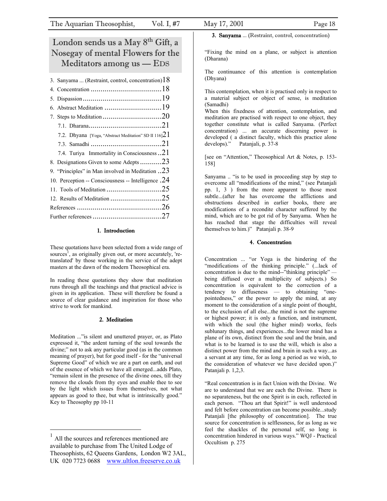### <span id="page-17-0"></span>London sends us a May 8th Gift, a Nosegay of mental Flowers for the Meditators among us — EDS

| 3. Sanyama  (Restraint, control, concentration) $18$     |  |
|----------------------------------------------------------|--|
|                                                          |  |
|                                                          |  |
|                                                          |  |
|                                                          |  |
|                                                          |  |
| 7.2. Dhyana [Yoga, "Abstract Meditation" SD II 116] $21$ |  |
|                                                          |  |
| 7.4. Turiya Immortality in Consciousness21               |  |
| 8. Designations Given to some Adepts23                   |  |
| 9. "Principles" in Man involved in Meditation $.23$      |  |
| 10. Perception -- Consciousness -- Intelligence .24      |  |
|                                                          |  |
|                                                          |  |
|                                                          |  |
|                                                          |  |

### 1. Introduction

These quotations have been selected from a wide range of sources<sup>1</sup>, as originally given out, or more accurately, 'retranslated' by those working in the service of the adept masters at the dawn of the modern Theosophical era.

In reading these quotations they show that meditation runs through all the teachings and that practical advice is given in its application. These will therefore be found a source of clear guidance and inspiration for those who strive to work for mankind.

### 2. Meditation

Meditation ..."is silent and unuttered prayer, or, as Plato expressed it, "the ardent turning of the soul towards the divine;" not to ask any particular good (as in the common meaning of prayer), but for good itself - for the "universal Supreme Good" of which we are a part on earth, and out of the essence of which we have all emerged...adds Plato, "remain silent in the presence of the divine ones, till they remove the clouds from thy eyes and enable thee to see by the light which issues from themselves, not what appears as good to thee, but what is intrinsically good." Key to Theosophy pp 10-11

3. Sanyama ... (Restraint, control, concentration)

"Fixing the mind on a plane, or subject is attention (Dharana)

The continuance of this attention is contemplation (Dhyana)

This contemplation, when it is practised only in respect to a material subject or object of sense, is meditation (Samadhi)

When this fixedness of attention, contemplation, and meditation are practised with respect to one object, they together constitute what is called Sanyama. (Perfect concentration) ... an accurate discerning power is developed ( a distinct faculty, which this practice alone develops)." Patanjali, p. 37-8

[see on "Attention," Theosophical Art & Notes, p. 153- 158]

Sanyama .. "is to be used in proceeding step by step to overcome all "modifications of the mind," (see Patanjali pp. 1, 3 ) from the more apparent to those most subtle...(after he has overcome the afflictions and obstructions described in earlier books, there are modifications of a recondite character suffered by the mind, which are to be got rid of by Sanyama. When he has reached that stage the difficulties will reveal themselves to him.)" Patanjali p. 38-9

#### 4. Concentration

Concentration ... "or Yoga is the hindering of the "modifications of the thinking principle." (...lack of concentration is due to the mind--"thinking principle" being diffused over a multiplicity of subjects.) So concentration is equivalent to the correction of a tendency to diffuseness — to obtaining "onepointedness," or the power to apply the mind, at any moment to the consideration of a single point of thought, to the exclusion of all else...the mind is not the supreme or highest power; it is only a function, and instrument, with which the soul (the higher mind) works, feels sublunary things, and experiences...the lower mind has a plane of its own, distinct from the soul and the brain, and what is to be learned is to use the will, which is also a distinct power from the mind and brain in such a way...as a servant at any time, for as long a period as we wish, to the consideration of whatever we have decided upon.)" Patanjali p. 1,2,3.

"Real concentration is in fact Union with the Divine. We are to understand that we are each the Divine. There is no separateness, but the one Spirit is in each, reflected in each person. "Thou art that Spirit!" is well understood and felt before concentration can become possible...study Patanjali [the philosophy of concentration]. The true source for concentration is selflessness, for as long as we feel the shackles of the personal self, so long is concentration hindered in various ways." WQJ - Practical Occultism p. 275

<span id="page-17-1"></span>All the sources and references mentioned are available to purchase from The United Lodge of Theosophists, 62 Queens Gardens, London W2 3AL, UK 020 7723 0688 [www.ultlon.freeserve.co.uk](http://www.ultlon.freeserve.co.uk/)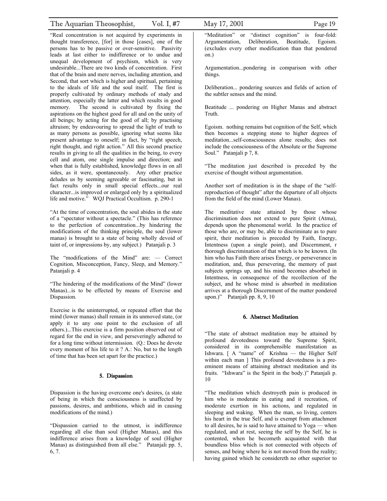<span id="page-18-0"></span>"Real concentration is not acquired by experiments in thought transference, [for] in those [cases], one of the persons has to be passive or over-sensitive. Passivity leads at last either to indifference or to undue and unequal development of psychism, which is very undesirable...There are two kinds of concentration. First that of the brain and mere nerves, including attention, and Second, that sort which is higher and spiritual, pertaining to the ideals of life and the soul itself. The first is properly cultivated by ordinary methods of study and attention, especially the latter and which results in good memory. The second is cultivated by fixing the aspirations on the highest good for all and on the unity of all beings; by acting for the good of all; by practising altruism; by endeavouring to spread the light of truth to as many persons as possible, ignoring what seems like present advantage to oneself; in fact, by "right speech, right thought, and right action." All this second practice results in giving to all the qualities in the being, to every cell and atom, one single impulse and direction; and when that is fully established, knowledge flows in on all sides, as it were, spontaneously. Any other practice deludes us by seeming agreeable or fascinating, but in fact results only in small special effects...our real character...is improved or enlarged only by a spiritualized life and motive." WQJ Practical Occultism. p. 290-1

"At the time of concentration, the soul abides in the state of a "spectator without a spectacle." (This has reference to the perfection of concentration...by hindering the modifications of the thinking principle, the soul (lower manas) is brought to a state of being wholly devoid of taint of, or impressions by, any subject.) Patanjali p. 3

The "modifications of the Mind" are: — Correct Cognition, Misconception, Fancy, Sleep, and Memory." Patanjali p. 4

"The hindering of the modifications of the Mind" (lower Manas)...is to be effected by means of Exercise and Dispassion.

Exercise is the uninterrupted, or repeated effort that the mind (lower manas) shall remain in its unmoved state, (or apply it to any one point to the exclusion of all others.)...This exercise is a firm position observed out of regard for the end in view, and perseveringly adhered to for a long time without intermission. (Q.: Does he devote every moment of his life to it ? A.: No, but to the length of time that has been set apart for the practice.)

### 5. Dispassion

Dispassion is the having overcome one's desires, (a state of being in which the consciousness is unaffected by passions, desires, and ambitions, which aid in causing modifications of the mind.)

"Dispassion carried to the utmost, is indifference regarding all else than soul (Higher Manas), and this indifference arises from a knowledge of soul (Higher Manas) as distinguished from all else." Patanjali pp. 5, 6, 7.

"Meditation" or "distinct cognition" is four-fold: Argumentation, Deliberation, Beatitude, Egoism. (excludes every other modification than that pondered on.)

Argumentation...pondering in comparison with other things.

Deliberation... pondering sources and fields of action of the subtler senses and the mind.

Beatitude ... pondering on Higher Manas and abstract Truth.

Egoism. nothing remains but cognition of the Self, which then becomes a stepping stone to higher degrees of meditation...self-consciousness alone results; does not include the consciousness of the Absolute or the Supreme Soul." Patanjali p 7, 8.

"The meditation just described is preceded by the exercise of thought without argumentation.

Another sort of meditation is in the shape of the "selfreproduction of thought" after the departure of all objects from the field of the mind (Lower Manas).

The meditative state attained by those whose discrimination does not extend to pure Spirit (Atma), depends upon the phenomenal world. In the practice of those who are, or may be, able to discriminate as to pure spirit, their meditation is preceded by Faith, Energy, Intentness (upon a single point), and Discernment, r thorough discrimination of that which is to be known. (In him who has Faith there arises Energy, or perseverance in meditation, and, thus persevering, the memory of past subjects springs up, and his mind becomes absorbed in Intentness, in consequence of the recollection of the subject, and he whose mind is absorbed in meditation arrives at a thorough Discernment of the matter pondered upon.)" Patanjali pp. 8, 9, 10

#### 6. Abstract Meditation

"The state of abstract meditation may be attained by profound devotedness toward the Supreme Spirit, considered in its comprehensible manifestation as Ishwara. [ A "name" of Krishna — the Higher Self within each man  $\vert$  This profound devotedness is a preeminent means of attaining abstract meditation and its fruits. "Ishwara" is the Spirit in the body.)" Patanjali p. 10

"The meditation which destroyeth pain is produced in him who is moderate in eating and it recreation, of moderate exertion in his actions, and regulated in sleeping and waking. When the man, so living, centers his heart in the true Self, and is exempt from attachment to all desires, he is said to have attained to Yoga — when regulated, and at rest, seeing the self by the Self, he is contented, when he becometh acquainted with that boundless bliss which is not connected with objects of senses, and being where he is not moved from the reality; having gained which he considereth no other superior to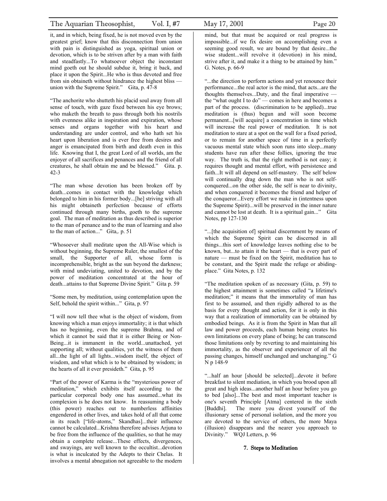<span id="page-19-0"></span>it, and in which, being fixed, he is not moved even by the greatest grief; know that this disconnection from union with pain is distinguished as yoga, spiritual union or devotion, which is to be striven after by a man with faith and steadfastly...To whatsoever object the inconstant mind goeth out he should subdue it, bring it back, and place it upon the Spirit...He who is thus devoted and free from sin obtaineth without hindrance the highest bliss union with the Supreme Spirit." Gita, p. 47-8

"The anchorite who shutteth his placid soul away from all sense of touch, with gaze fixed between his eye brows; who maketh the breath to pass through both his nostrils with evenness alike in inspiration and expiration, whose senses and organs together with his heart and understanding are under control, and who hath set his heart upon liberation and is ever free from desires and anger is emancipated from birth and death even in this life. Knowing that I, the great Lord of all worlds, am the enjoyer of all sacrifices and penances and the friend of all creatures, he shall obtain me and be blessed." Gita. p. 42-3

"The man whose devotion has been broken off by death...comes in contact with the knowledge which belonged to him in his former body...[he] striving with all his might obtaineth perfection because of efforts continued through many births, goeth to the supreme goal. The man of meditation as thus described is superior to the man of penance and to the man of learning and also to the man of action..." Gita,. p. 51

"Whosoever shall meditate upon the All-Wise which is without beginning, the Supreme Ruler, the smallest of the small, the Supporter of all, whose form is incomprehensible, bright as the sun beyond the darkness; with mind undeviating, united to devotion, and by the power of meditation concentrated at the hour of death...attains to that Supreme Divine Spirit." Gita p. 59

"Some men, by meditation, using contemplation upon the Self, behold the spirit within..." Gita, p. 97

"I will now tell thee what is the object of wisdom, from knowing which a man enjoys immortality; it is that which has no beginning, even the supreme Brahma, and of which it cannot be said that it is either Being or Non-Being...it is immanent in the world...unattached, yet supporting all; without qualities, yet the witness of them all...the light of all lights...wisdom itself, the object of wisdom, and what which is to be obtained by wisdom; in the hearts of all it ever presideth." Gita, p. 95

"Part of the power of Karma is the "mysterious power of meditation," which exhibits itself according to the particular corporeal body one has assumed...what its complexion is he does not know. In reassuming a body (this power) reaches out to numberless affinities engendered in other lives, and takes hold of all that come in its reach ["life-atoms," Skandhas]...their influence cannot be calculated...Krishna therefore advises Arjuna to be free from the influence of the qualities, so that he may obtain a complete release...These effects, divergences, and swayings, are well known to the occultist...devotion is what is inculcated by the Adepts to their Chelas. It involves a mental abnegation not agreeable to the modern mind, but that must be acquired or real progress is impossible...if we fix desire on accomplishing even a seeming good result, we are bound by that desire...the wise student...will revolve it (devotion) in his mind, strive after it, and make it a thing to be attained by him." G. Notes, p. 66-9

"...the direction to perform actions and yet renounce their performance...the real actor is the mind, that acts...are the thoughts themselves...Duty, and the final imperative the "what ought I to do" — comes in here and becomes a part of the process. (discrimination to be applied)...true meditation is (thus) begun and will soon become permanent...[will acquire] a concentration in time which will increase the real power of meditation. It is not meditation to stare at a spot on the wall for a fixed period, or to remain for another space of time in a perfectly vacuous mental state which soon runs into sleep...many students have run after these follies, ignoring the true way. The truth is, that the right method is not easy; it requires thought and mental effort, with persistence and faith...It will all depend on self-mastery. The self below will continually drag down the man who is not selfconquered...on the other side, the self is near to divinity, and when conquered it becomes the friend and helper of the conqueror...Every effort we make in (intentness upon the Supreme Spirit)...will be preserved in the inner nature and cannot be lost at death. It is a spiritual gain..." Gita Notes, pp 127-130

"...[the acquisition of] spiritual discernment by means of which the Supreme Spirit can be discerned in all things...this sort of knowledge leaves nothing else to be known, but...to attain it the heart — that is every part of nature — must be fixed on the Spirit, meditation has to be constant, and the Spirit made the refuge or abidingplace." Gita Notes, p. 132

"The meditation spoken of as necessary (Gita, p. 59) to the highest attainment is sometimes called "a lifetime's meditation;" it means that the immortality of man has first to be assumed, and then rigidly adhered to as the basis for every thought and action, for it is only in this way that a realization of immortality can be obtained by embodied beings. As it is from the Spirit in Man that all law and power proceeds, each human being creates his own limitations on every plane of being; he can transcend those limitations only by reverting to and maintaining his immortality, as the observer and experiencer of all the passing changes, himself unchanged and unchanging." G N p 148-9

"...half an hour [should be selected]...devote it before breakfast to silent mediation, in which you brood upon all great and high ideas...another half an hour before you go to bed [also]...The best and most important teacher is one's seventh Principle [Atma] centered in the sixth [Buddhi]. The more you divest yourself of the illusionary sense of personal isolation, and the more you are devoted to the service of others, the more Maya (illusion) disappears and the nearer you approach to Divinity." WQJ Letters, p. 96

### 7. Steps to Meditation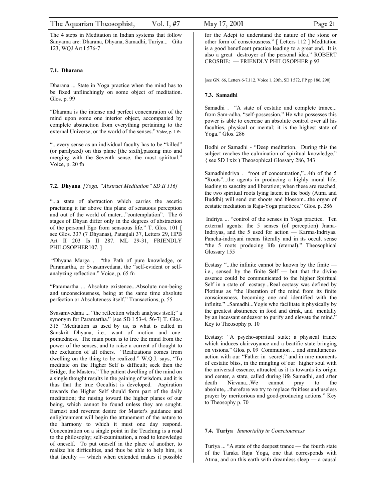<span id="page-20-0"></span>The 4 steps in Meditation in Indian systems that follow Sanyama are: Dharana, Dhyana, Samadhi, Turiya... Gita 123, WQJ Art I 576-7

### **7.1. Dharana**

Dharana ... State in Yoga practice when the mind has to be fixed unflinchingly on some object of meditation. Glos. p. 99

"Dharana is the intense and perfect concentration of the mind upon some one interior object, accompanied by complete abstraction from everything pertaining to the external Universe, or the world of the senses." Voice, p. 1 fn

"...every sense as an individual faculty has to be "killed" (or paralyzed) on this plane [the sixth],passing into and merging with the Seventh sense, the most spiritual." Voice, p. 20 fn

### **7.2. Dhyana** *[Yoga, "Abstract Meditation" SD II 116]*

"...a state of abstraction which carries the ascetic practising it far above this plane of sensuous perception and out of the world of mater..."contemplation". The 6 stages of Dhyan differ only in the degrees of abstraction of the personal Ego from sensuous life." T. Glos. 101 [ see Glos. 337 (7 Dhyanas), Patanjali 37, Letters 29, HPB Art II 203 Is II 287. ML 29-31, FRIENDLY PHILOSOPHER107.

 "Dhyana Marga . "the Path of pure knowledge, or Paramartha, or Svasamvedana, the "self-evident or selfanalyzing reflection." Voice, p. 65 fn

"Paramartha ... Absolute existence...Absolute non-being and unconsciousness, being at the same time absolute perfection or Absoluteness itself." Transactions, p. 55

Svasamvedana ... "the reflection which analyses itself;" a synonym for Paramartha." [see SD I 53-4, 56-7] T. Glos. 315 "Meditation as used by us, is what is called in Sanskrit Dhyana, i.e., want of motion and onepointedness. The main point is to free the mind from the power of the senses, and to raise a current of thought to the exclusion of all others. "Realizations comes from dwelling on the thing to be realized." W.Q.J. says, "To meditate on the Higher Self is difficult; seek then the Bridge, the Masters." The patient dwelling of the mind on a single thought results in the gaining of wisdom, and it is thus that the true Occultist is developed. Aspiration towards the Higher Self should form part of the daily meditation; the raising toward the higher planes of our being, which cannot be found unless they are sought. Earnest and reverent desire for Master's guidance and enlightenment will begin the attunement of the nature to the harmony to which it must one day respond. Concentration on a single point in the Teaching is a road to the philosophy; self-examination, a road to knowledge of oneself. To put oneself in the place of another, to realize his difficulties, and thus be able to help him, is that faculty — which when extended makes it possible

for the Adept to understand the nature of the stone or other form of consciousness." [ Letters 112 ] Meditation is a good beneficent practice leading to a great end. It is also a great destroyer of the personal idea." ROBERT CROSBIE: — FRIENDLY PHILOSOPHER p 93

[see GN. 66, Letters 6-7,112, Voice 1, 20fn, SD I 572, FP pp 186, 290]

### **7.3. Samadhi**

Samadhi . "A state of ecstatic and complete trance... from Sam-adha, "self-possession." He who possesses this power is able to exercise an absolute control over all his faculties, physical or mental; it is the highest state of Yoga." Glos. 286

Bodhi or Samadhi - "Deep meditation. During this the subject reaches the culmination of spiritual knowledge." { see SD I xix ) Theosophical Glossary 286, 343

Samadhindriya . "root of concentration,"...4th of the 5 "Roots"...the agents in producing a highly moral life, leading to sanctity and liberation; when these are reached, the two spiritual roots lying latent in the body (Atma and Buddhi) will send out shoots and blossom...the organ of ecstatic mediation is Raja-Yoga practices." Glos. p. 286

 Indriya ... "control of the senses in Yoga practice. Ten external agents: the 5 senses (of perception) Jnana-Indriyas, and the 5 used for action — Karma-Indriyas. Pancha-indriyani means literally and in its occult sense "the 5 roots producing life (eternal)." Theosophical Glossary 155

Ecstasy "...the infinite cannot be known by the finite i.e., sensed by the finite Self — but that the divine essence could be communicated to the higher Spiritual Self in a state of ecstasy...Real ecstasy was defined by Plotinus as "the liberation of the mind from its finite consciousness, becoming one and identified with the infinite." ..Samadhi...Yogis who facilitate it physically by the greatest abstinence in food and drink, and mentally by an incessant endeavor to purify and elevate the mind." Key to Theosophy p. 10

Ecstasy: "A psycho-spiritual state; a physical trance which induces clairvoyance and a beatific state bringing on visions." Glos. p. 09 Communion ... and simultaneous action with our "Father in secret;" and in rare moments of ecstatic bliss, in the mingling of our higher soul with the universal essence, attracted as it is towards its origin and center, a state, called during life Samadhi, and after death Nirvana...We cannot pray to the absolute,...therefore we try to replace fruitless and useless prayer by meritorious and good-producing actions." Key to Theosophy p. 70

#### **7.4. Turiya** *Immortality in Consciousness*

Turiya ... "A state of the deepest trance — the fourth state of the Taraka Raja Yoga, one that corresponds with Atma, and on this earth with dreamless sleep — a causal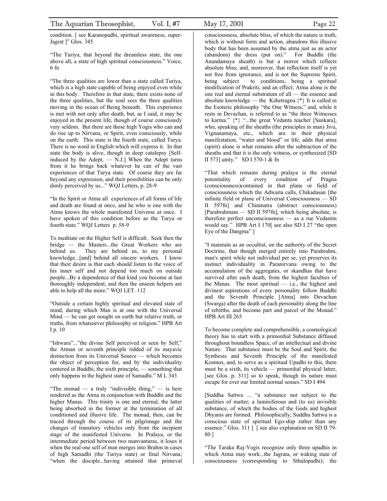condition. [ see Karanopadhi, spiritual awareness, super-Jagrat ]" Glos. 345

"The Turiya, that beyond the dreamless state, the one above all, a state of high spiritual consciousness." Voice, 6 fn

"The three qualities are lower than a state called Turiya, which is a high state capable of being enjoyed even while in this body. Therefore in that state, there exists none of the three qualities, but the soul sees the three qualities moving in the ocean of Being beneath. This experience is met with not only after death, but, as I said, it may be enjoyed in the present life, though of course consciously very seldom. But there are those high Yogis who can and do rise up to Nirvana, or Spirit, even consciously, while on the earth. This state is the fourth state, called Turya. There is no word in English which will express it. In that state the body is alive, though in deep catalepsy [Selfinduced by the Adept. — N.J.] When the Adept turns from it he brings back whatever he can of the vast experiences of that Turya state. Of course they are far beyond any expression, and their possibilities can be only dimly perceived by us..." WQJ Letters, p. 28-9

"In the Spirit or Atma all experiences of all forms of life and death are found at once, and he who is one with the Atma knows the whole manifested Universe at once. I have spoken of this condition before as the Turya or fourth state." WQJ Letters p. 58-9

To meditate on the Higher Self is difficult. Seek then the bridge — the Masters...the Great Workers who are behind us. They are behind us, to my personal knowledge...[and] behind all sincere workers. I know that their desire is that each should listen to the voice of his inner self and not depend too much on outside people...By a dependence of that kind you become at last thoroughly independent, and then the unseen helpers are able to help all the more." WQJ LET. 112

"Outside a certain highly spiritual and elevated state of mind, during which Man is at one with the Universal Mind — he can get nought on earth but relative truth, or truths, from whatsoever philosophy or religion." HPB Art I p. 10

"Ishwara"..."the divine Self perceived or seen by Self," the Atman or seventh principle ridded of its mayavic distinction from its Universal Source — which becomes the object of perception for, and by the individuality centered in Buddhi, the sixth principle, — something that only happens in the highest state of Samadhi." M L 343

"The monad — a truly "indivisible thing," — is here rendered as the Atma in conjunction with Buddhi and the higher Manas. This trinity is one and eternal, the latter being absorbed in the former at the termination of all conditioned and illusive life. The monad, then, can be traced through the course of its pilgrimage and the changes of transitory vehicles only from the incipient stage of the manifested Universe. In Pralaya, or the intermediate period between two manvantaras, it loses it when the real one self of man merges into Brahm in cases of high Samadhi (the Turiya state) or final Nirvana; "when the disciple...having attained that primeval

consciousness, absolute bliss, of which the nature is truth, which is without form and action, abandons this illusive body that has been assumed by the atma just as an actor (abandons) the dress (put on)." For Buddhi (the Anandamaya sheath) is but a mirror which reflects absolute bliss; and, moreover, that reflection itself is yet not free from ignorance, and is not the Supreme Spirit, being subject to conditions, being a spiritual modification of Prakriti, and an effect; Atma alone is the one real and eternal substratum of all — the essence and absolute knowledge — the Kshetragna.{\*} It is called in the Esoteric philosophy "the One Witness," and, while it rests in Devachan, is referred to as "the three Witnesses to karma." {\*} "...the great Vedanta teacher [Sankara], who, speaking of the sheaths (the principles in man) Jiva, Vignanamaya, etc., which are in their physical manifestation, "water and blood" or life, adds that atma (spirit) alone is what remains after the subtraction of the sheaths and that it is the only witness, or synthesized [SD II 573] unity." SD I 570-1 & fn

"That which remains during pralaya is the eternal potentiality of every condition of Pragna (consciousness)contained in that plane or field of consciousness which the Adwaita calls, Chikadasan [the infinite field or plane of Universal Consciousness — SD II 597fn] and Chinmatra (abstract consciousness) [Parabrahmam — SD II 597fn], which being absolute, is therefore perfect unconsciousness — as a rue Vedantin would say." HPB Art I 170[ see also SD I 27 "the open Eye of the Dangma" ]

"I maintain as an occultist, on the authority of the Secret Doctrine, that though merged entirely into Parabrahm, man's spirit while not individual per se, yet preserves its instinct individuality in Paranirvana owing to the accumulation of the aggregates, or skandhas that have survived after each death, from the highest faculties of the Manas. The most spiritual  $-$  i.e., the highest and divinest aspirations of every personality follow Buddhi and the Seventh Principle [Atma] into Devachan (Swarga) after the death of each personality along the line of rebirths, and become part and parcel of the Monad." HPB Art III 265

To become complete and comprehensible, a cosmological theory has to start with a primordial Substance diffused throughout boundless Space, of an intellectual and divine Nature. That substance must be the Soul and Spirit, the Synthesis and Seventh Principle of the manifested Kosmos, and, to serve as a spiritual Upadhi to this, there must be a sixth, its vehicle — primordial physical latter, [see Glos. p. 311] so to speak, though its nature must escape for ever our limited normal senses." SD I 494

[Suddha Sattwa ... "a substance not subject to the qualities of matter; a luminiferous and (to us) invisible substance, of which the bodies of the Gods and highest Dhyanis are formed. Philosophically, Suddha Sattwa is a conscious state of spiritual Ego-ship rather than any essence." Glos. 311 ] [ see also explanation on SD II 79- 80 ]

"The Taraka Raj-Yogis recognize only three upadhis in which Atma may work...the Jagrata, or waking state of consciousness (corresponding to Sthulopadhi); the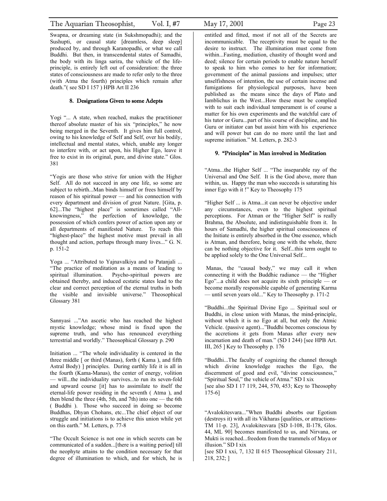<span id="page-22-0"></span>Swapna, or dreaming state (in Sukshmopadhi); and the Sushupti, or causal state [dreamless, deep sleep] produced by, and through Karanopadhi, or what we call Buddhi. But then, in transcendental states of Samadhi, the body with its linga sarira, the vehicle of the lifeprinciple, is entirely left out of consideration: the three states of consciousness are made to refer only to the three (with Atma the fourth) principles which remain after death."( see SD I 157 ) HPB Art II 236

### 8. Designations Given to some Adepts

Yogi "... A state, when reached, makes the practitioner thereof absolute master of his six "principles," he now being merged in the Seventh. It gives him full control, owing to his knowledge of Self and Self, over his bodily, intellectual and mental states, which, unable any longer to interfere with, or act upon, his Higher Ego, leave it free to exist in its original, pure, and divine state." Glos. 381

"Yogis are those who strive for union with the Higher Self. All do not succeed in any one life, so some are subject to rebirth...Man binds himself or frees himself by reason of his spiritual power — and his connection with every department and division of great Nature. [Gita, p. 62]...The "highest place" is sometimes called "Allknowingness," the perfection of knowledge, the possession of which confers power of action upon any or all departments of manifested Nature. To reach this "highest-place" the highest motive must prevail in all thought and action, perhaps through many lives..." G. N. p. 151-2

Yoga ... "Attributed to Yajnavalkiya and to Patanjali ... "The practice of meditation as a means of leading to spiritual illumination. Psycho-spiritual powers are obtained thereby, and induced ecstatic states lead to the clear and correct perception of the eternal truths in both the visible and invisible universe." Theosophical Glossary 381

Sannyasi ..."An ascetic who has reached the highest mystic knowledge; whose mind is fixed upon the supreme truth, and who has renounced everything terrestrial and worldly." Theosophical Glossary p. 290

Initiation ... "The whole individuality is centered in the three middle [ or third (Manas), forth ( Kama ), and fifth Astral Body) ] principles. During earthly life it is all in the fourth (Kama-Manas), the center of energy, volition — will...the individuality survives...to run its seven-fold and upward course [it] has to assimilate to itself the eternal-life power residing in the seventh ( Atma ), and then blend the three (4th, 5th, and 7th) into one — the 6th ( Buddhi ). Those who succeed in doing so become Buddhas, Dhyan Chohans, etc...The chief object of our struggle and initiations is to achieve this union while yet on this earth." M. Letters, p. 77-8

"The Occult Science is not one in which secrets can be communicated of a sudden...[there is a waiting period] till the neophyte attains to the condition necessary for that degree of illumination to which, and for which, he is

entitled and fitted, most if not all of the Secrets are incommunicable. The receptivity must be equal to the desire to instruct. The illumination must come from within...Fasting, mediation, chastity of thought word and deed; silence for certain periods to enable nature herself to speak to him who comes to her for information; government of the animal passions and impulses; utter unselfishness of intention, the use of certain incense and fumigations for physiological purposes, have been published as the means since the days of Plato and Iamblichus in the West...How these must be complied with to suit each individual temperament is of course a matter for his own experiments and the watchful care of his tutor or Guru...part of his course of discipline, and his Guru or initiator can but assist him with his experience and will power but can do no more until the last and supreme initiation." M. Letters, p. 282-3

### 9. "Principles" in Man involved in Meditation

"Atma...the Higher Self ... "The inseparable ray of the Universal and One Self. It is the God above, more than within, us. Happy the man who succeeds is saturating his inner Ego with it !" Key to Theosophy 175

"Higher Self ... is Atma...it can never be objective under any circumstances, even to the highest spiritual perceptions. For Atman or the "Higher Self" is really Brahma, the Absolute, and indistinguishable from it. In hours of Samadhi, the higher spiritual consciousness of the Initiate is entirely absorbed in the One essence, which is Atman, and therefore, being one with the whole, there can be nothing objective for it. Self...this term ought to be applied solely to the One Universal Self...

 Manas, the "causal body," we may call it when connecting it with the Buddhic radiance — the "Higher Ego"...a child does not acquire its sixth principle — or become morally responsible capable of generating Karma — until seven years old..." Key to Theosophy p. 171-2

"Buddhi...the Spiritual Divine Ego ... Spiritual soul or Buddhi, in close union with Manas, the mind-principle, without which it is no Ego at all, but only the Atmic Vehicle. (passive agent)..."Buddhi becomes conscious by the accretions it gets from Manas after every new incarnation and death of man." (SD I 244) [see HPB Art. III, 265 ] Key to Theosophy p. 176

"Buddhi...The faculty of cognizing the channel through which divine knowledge reaches the Ego, the discernment of good and evil, "divine consciousness," "Spiritual Soul," the vehicle of Atma." SD I xix [see also SD I 17 119, 244, 570, 453; Key to Theosophy 175-6]

"Avalokitesvara..."When Buddhi absorbs our Egotism (destroys it) with all its Vikharas [qualities, or attractions-TM 11-p. 23], Avalokitesvara [SD I-108, II-178, Glos. 44, ML 90] becomes manifested to us, and Nirvana, or Mukti is reached...freedom from the trammels of Maya or illusion." SD I xix

[see SD I xxi, 7, 132 II 615 Theosophical Glossary 211, 218, 232; ]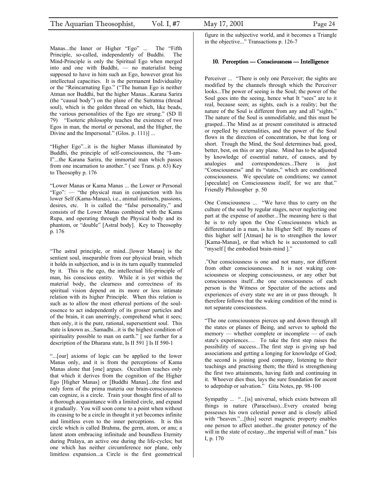<span id="page-23-0"></span>Manas...the Inner or Higher "Ego" ... The "Fifth Principle, so-called, independently of Buddhi. The Mind-Principle is only the Spiritual Ego when merged into and one with Buddhi, — no materialist being supposed to have in him such an Ego, however great his intellectual capacities. It is the permanent Individuality or the "Reincarnating Ego." ("The human Ego is neither Atman nor Buddhi, but the higher Manas...Karana Sarira (the "causal body") on the plane of the Sutratma (thread soul), which is the golden thread on which, like beads, the various personalities of the Ego are strung." (SD II 79) "Esoteric philosophy teaches the existence of two Egos in man, the mortal or personal, and the Higher, the Divine and the Impersonal." (Glos. p. 111)] ...

"Higher Ego"...it is the higher Manas illuminated by Buddhi, the principle of self-consciousness, the "I-am-I"...the Karana Sarira, the immortal man which passes from one incarnation to another." ( see Trans. p. 63) Key to Theosophy p. 176

"Lower Manas or Kama Manas ... the Lower or Personal "Ego": — "the physical man in conjunction with his lower Self (Kama-Manas), i.e., animal instincts, passions, desires, etc. It is called the "false personality," and consists of the Lower Manas combined with the Kama Rupa, and operating through the Physical body and its phantom, or "double" [Astral body]. Key to Theosophy p. 176

"The astral principle, or mind...[lower Manas] is the sentient soul, inseparable from our physical brain, which it holds in subjection, and is in its turn equally trammeled by it. This is the ego, the intellectual life-principle of man, his conscious entity. While it is yet within the material body, the clearness and correctness of its spiritual vision depend on its more or less intimate relation with its higher Principle. When this relation is such as to allow the most ethereal portions of the soulessence to act independently of its grosser particles and of the brain, it can unerringly, comprehend what it sees; then only, it is the pure, rational, supersentient soul. This state is known as...Samadhi...it is the highest condition of spirituality possible to man on earth." [see further for a description of the Dharana state, Is II 591 ] Is II 590-1

"...[our] axioms of logic can be applied to the lower Manas only, and it is from the perceptions of Kama Manas alone that [one] argues. Occultism teaches only that which it derives from the cognition of the Higher Ego [Higher Manas] or [Buddhi Manas]...the first and only form of the prima materia our brain-consciousness can cognize, is a circle. Train your thought first of all to a thorough acquaintance with a limited circle, and expand it gradually. You will soon come to a point when without its ceasing to be a circle in thought it yet becomes infinite and limitless even to the inner perceptions. It is this circle which is called Brahma, the germ, atom, or anu; a latent atom embracing infinitude and boundless Eternity during Pralaya, an active one during the life-cycles; but one which has neither circumference nor plane, only limitless expansion...a Circle is the first geometrical figure in the subjective world, and it becomes a Triangle in the objective..." Transactions p. 126-7

#### 10. Perception — Consciousness — Intelligence

Perceiver ... "There is only one Perceiver; the sights are modified by the channels through which the Perceiver looks...The power of seeing is the Soul; the power of the Soul goes into the seeing, hence what It "sees" are to it real, because seen; as sights, each is a reality; but the nature of the Soul is different from any and all "sights." The nature of the Soul is unmodifiable, and this must be grasped...The Mind as at present constituted is attracted or repelled by externalities, and the power of the Soul flows in the direction of concentration, be that long or short. Trough the Mind, the Soul determines bad, good, better, best, on this or any plane. Mind has to be adjusted by knowledge of essential nature, of causes, and by analogies and correspondences...There is just "Consciousness" and its "states," which are conditioned consciousness. We speculate on conditions; we cannot [speculate] on Consciousness itself, for we are that." Friendly Philosopher p. 50

One Consciousness ... "We have thus to carry on the culture of the soul by regular stages, never neglecting one part at the expense of another...The meaning here is that he is to rely upon the One Consciousness which as differentiated in a man, is his Higher Self. By means of this higher self [Atman] he is to strengthen the lower [Kama-Manas], or that which he is accustomed to call "myself [ the embodied brain-mind ]."

."Our consciousness is one and not many, nor different from other consciousnesses. It is not waking consciousness or sleeping consciousness, or any other but consciousness itself...the one consciousness of each person is the Witness or Spectator of the actions and experiences of every state we are in or pass through. It therefore follows that the waking condition of the mind is not separate consciousness.

"The one consciousness pierces up and down through all the states or planes of Being, and serves to uphold the memory — whether complete or incomplete — of each state's experiences.… To take the first step raises the possibility of success...The first step is giving up bad associations and getting a longing for knowledge of God; the second is joining good company, listening to their teachings and practising them; the third is strengthening the first two attainments, having faith and continuing in it. Whoever dies thus, lays the sure foundation for ascent to adeptship or salvation." Gita Notes, pp. 98-100

Sympathy ... "...[is] universal, which exists between all things in nature (Paracelsus)...Every created being possesses his own celestial power and is closely allied with "heaven."...[this] secret magnetic property enables one person to affect another...the greater potency of the will in the state of ecstasy...the imperial will of man." Isis I, p. 170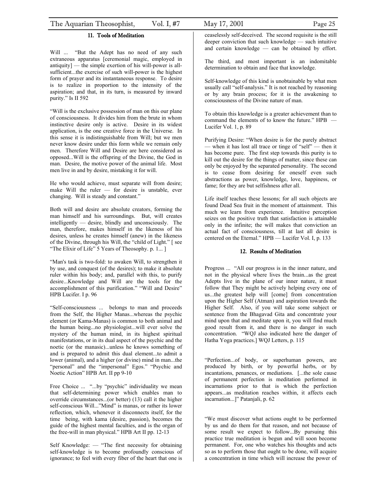### 11. Tools of Meditation

<span id="page-24-0"></span>Will ... "But the Adept has no need of any such extraneous apparatus [ceremonial magic, employed in antiquity] — the simple exertion of his will-power is allsufficient...the exercise of such will-power is the highest form of prayer and its instantaneous response. To desire is to realize in proportion to the intensity of the aspiration; and that, in its turn, is measured by inward purity." Is II 592

"Will is the exclusive possession of man on this our plane of consciousness. It divides him from the brute in whom instinctive desire only is active. Desire in its widest application, is the one creative force in the Universe. In this sense it is indistinguishable from Will; but we men never know desire under this form while we remain only men. Therefore Will and Desire are here considered as opposed...Will is the offspring of the Divine, the God in man. Desire, the motive power of the animal life. Most men live in and by desire, mistaking it for will.

He who would achieve, must separate will from desire; make Will the ruler — for desire is unstable, ever changing. Will is steady and constant."

Both will and desire are absolute creators, forming the man himself and his surroundings. But, will creates intelligently — desire, blindly and unconsciously. The man, therefore, makes himself in the likeness of his desires, unless he creates himself (anew) in the likeness of the Divine, through his Will, the "child of Light." [ see "The Elixir of Life" 5 Years of Theosophy. p. 1...]

"Man's task is two-fold: to awaken Will, to strengthen it by use, and conquest (of the desires); to make it absolute ruler within his body; and, parallel with this, to purify desire...Knowledge and Will are the tools for the accomplishment of this purification." "Will and Desire" HPB Lucifer. I p. 96

"Self-consciousness ... belongs to man and proceeds from the Self, the Higher Manas...whereas the psychic element (or Kama-Manas) is common to both animal and the human being...no physiologist...will ever solve the mystery of the human mind, in its highest spiritual manifestations, or in its dual aspect of the psychic and the noetic (or the manasic)...unless he knows something of and is prepared to admit this dual element...to admit a lower (animal), and a higher (or divine) mind in man...the "personal" and the "impersonal" Egos." "Psychic and Noetic Action" HPB Art. II pp 9-10

Free Choice ... "...by "psychic" individuality we mean that self-determining power which enables man to override circumstances...(or better) (13) call it the higher self-conscious Will..."Mind" is manas, or rather its lower reflection, which, whenever it disconnects itself, for the time being, with kama (desire, passion), becomes the guide of the highest mental faculties, and is the organ of the free-will in man physical." HPB Art II pp. 12-13

Self Knowledge: — "The first necessity for obtaining self-knowledge is to become profoundly conscious of ignorance; to feel with every fiber of the heart that one is The third, and most important is an indomitable determination to obtain and face that knowledge.

Self-knowledge of this kind is unobtainable by what men usually call "self-analysis." It is not reached by reasoning or by any brain process; for it is the awakening to consciousness of the Divine nature of man.

To obtain this knowledge is a greater achievement than to command the elements of to know the future." HPB — Lucifer Vol. 1, p. 89

Purifying Desire: "When desire is for the purely abstract — when it has lost all trace or tinge of "self" — then it has become pure. The first step towards this purity is to kill out the desire for the things of matter, since these can only be enjoyed by the separated personality. The second is to cease from desiring for oneself even such abstractions as power, knowledge, love, happiness, or fame; for they are but selfishness after all.

Life itself teaches these lessons; for all such objects are found Dead Sea fruit in the moment of attainment. This much we learn from experience. Intuitive perception seizes on the positive truth that satisfaction is attainable only in the infinite; the will makes that conviction an actual fact of consciousness, till at last all desire is centered on the Eternal." HPB — Lucifer Vol. I, p. 133

#### 12. Results of Meditation

Progress ... "All our progress is in the inner nature, and not in the physical where lives the brain...as the great Adepts live in the plane of our inner nature, it must follow that They might be actively helping every one of us...the greatest help will [come] from concentration upon the Higher Self (Atman) and aspiration towards the Higher Self. Also, if you will take some subject or sentence from the Bhagavad Gita and concentrate your mind upon that and meditate upon it, you will find much good result from it, and there is no danger in such concentration. "WQJ also indicated here the danger of Hatha Yoga practices.] WQJ Letters, p. 115

"Perfection...of body, or superhuman powers, are produced by birth, or by powerful herbs, or by incantations, penances, or mediations. [...the sole cause of permanent perfection is meditation performed in incarnations prior to that is which the perfection appears...as meditation reaches within, it affects each incarnation...]" Patanjali, p. 62

"We must discover what actions ought to be performed by us and do them for that reason, and not because of some result we expect to follow...By pursuing this practice true meditation is begun and will soon become permanent. For, one who watches his thoughts and acts so as to perform those that ought to be done, will acquire a concentration in time which will increase the power of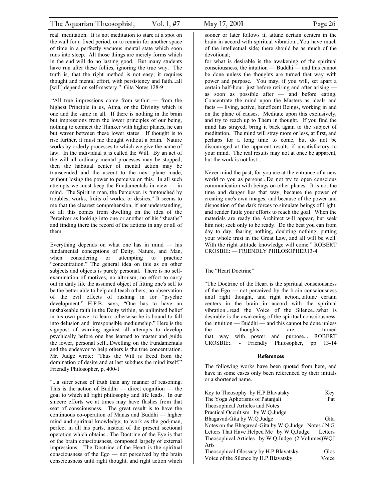<span id="page-25-0"></span>real meditation. It is not meditation to stare at a spot on the wall for a fixed period, or to remain for another space of time in a perfectly vacuous mental state which soon runs into sleep. All those things are merely forms which in the end will do no lasting good. But many students have run after these follies, ignoring the true way. The truth is, that the right method is not easy; it requires thought and mental effort, with persistency and faith...all [will] depend on self-mastery." Gita Notes 128-9

 "All true impressions come from within — from the highest Principle in us, Atma, or the Divinity which is one and the same in all. If there is nothing in the brain but impressions from the lower principles of our being, nothing to connect the Thinker with higher planes, he can but waver between these lower states. If thought is to rise further, it must me thought without a brain. Nature works by orderly processes to which we give the name of law. In the individual it is called the Will. By an act of the will all ordinary mental processes may be stopped; then the habitual center of mental action may be transcended and the ascent to the next plane made, without losing the power to perceive on this. In all such attempts we must keep the Fundamentals in view — in mind. The Spirit in man, the Perceiver, is "untouched by troubles, works, fruits of works, or desires." It seems to me that the clearest comprehension, if not understanding, of all this comes from dwelling on the idea of the Perceiver as looking into one or another of his "sheaths" and finding there the record of the actions in any or all of them.

Everything depends on what one has in mind  $-$  his fundamental conceptions of Deity, Nature, and Man, when considering or attempting to practice "concentration." The general idea on this as on other subjects and objects is purely personal. There is no selfexamination of motives, no altruism, no effort to carry out in daily life the assumed object of fitting one's self to be the better able to help and teach others, no observation of the evil effects of rushing in for "psychic development." H.P.B. says, "One has to have an unshakeable faith in the Deity within, an unlimited belief in his own power to learn; otherwise he is bound to fall into delusion and irresponsible mediumship." Here is the signpost of warning against all attempts to develop psychically before one has learned to master and guide the lower, personal self...Dwelling on the Fundamentals and the endeavor to help others is the true concentration. Mr. Judge wrote: "Thus the Will is freed from the domination of desire and at last subdues the mind itself." Friendly Philosopher, p. 400-1

"...a surer sense of truth than any manner of reasoning. This is the action of Buddhi  $-$  direct cognition  $-$  the goal to which all right philosophy and life leads. In our sincere efforts we at times may have flashes from that seat of consciousness. The great result is to have the continuous co-operation of Manas and Buddhi — higher mind and spiritual knowledge; to work as the god-man, perfect in all his parts, instead of the present sectional operation which obtains...The Doctrine of the Eye is that of the brain consciousness, composed largely of external impressions. The Doctrine of the Heart is the spiritual consciousness of the Ego — not perceived by the brain consciousness until right thought, and right action which of the intellectual side; there should be as much of the

devotional; for what is desirable is the awakening of the spiritual consciousness, the intuition — Buddhi — and this cannot be done unless the thoughts are turned that way with power and purpose. You may, if you will, set apart a certain half-hour, just before retiring and after arising as soon as possible after — and before eating. Concentrate the mind upon the Masters as ideals and facts — living, active, beneficent Beings, working in and on the plane of causes. Meditate upon this exclusively, and try to reach up to Them in thought. If you find the mind has strayed, bring it back again to the subject of meditation. The mind will stray more or less, at first, and perhaps for a long time to come, but do not be discouraged at the apparent results if unsatisfactory to your mind. The real results may not at once be apparent, but the work is not lost...

Never mind the past, for you are at the entrance of a new world to you as persons...Do not try to open conscious communication with beings on other planes. It is not the time and danger lies that way, because the power of creating one's own images, and because of the power and disposition of the dark forces to simulate beings of Light, and render futile your efforts to reach the goal. When the materials are ready the Architect will appear, but seek him not; seek only to be ready. Do the best you can from day to day, fearing nothing, doubting nothing, putting your whole trust in the Great Law, and all will be well. With the right attitude knowledge will come." ROBERT CROSBIE: — FRIENDLY PHILOSOPHER13-4

#### The "Heart Doctrine"

"The Doctrine of the Heart is the spiritual consciousness of the Ego — not perceived by the brain consciousness until right thought, and right action...attune certain centers in the brain in accord with the spiritual vibration...read the Voice of the Silence...what is desirable is the awakening of the spiritual consciousness, the intuition — Buddhi — and this cannot be done unless the thoughts are turned that way with power and purpose... ROBERT CROSBIE:. - Friendly Philosopher, pp 13-14

#### References

The following works have been quoted from here, and have in some cases only been referenced by their initials or a shortened name.

| Key to Theosophy by H.P. Blavatsky                  | Key     |
|-----------------------------------------------------|---------|
| The Yoga Aphorisms of Pataniali                     | Pat     |
| Theosophical Articles and Notes                     |         |
| Practical Occultism by W.Q.Judge                    |         |
| Bhagavad-Gita by W.Q.Judge                          | Gita    |
| Notes on the Bhagavad-Gita by W.Q.Judge Notes / N G |         |
| Letters That Have Helped Me by W.Q.Judge            | Letters |
| Theosophical Articles by W.Q.Judge (2 Volumes) WQJ  |         |
| Arts                                                |         |
| Theosophical Glossary by H.P. Blavatsky             | Glos    |
| Voice of the Silence by H.P. Blavatsky              | Voice   |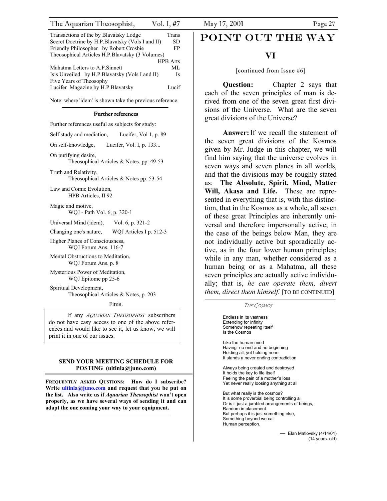<span id="page-26-0"></span>

| Transactions of the by Blavatsky Lodge            | Trans           | POINT OUT!                |
|---------------------------------------------------|-----------------|---------------------------|
| Secret Doctrine by H.P. Blavatsky (Vols I and II) | <b>SD</b>       |                           |
| Friendly Philosopher by Robert Crosbie            | FP              |                           |
| Theosophical Articles H.P. Blavatsky (3 Volumes)  |                 |                           |
|                                                   | <b>HPB</b> Arts |                           |
| Mahatma Letters to A.P. Sinnett                   | ML.             | [continued from           |
| Isis Unveiled by H.P. Blavatsky (Vols I and II)   | Is              |                           |
| Five Years of Theosophy                           |                 |                           |
| Lucifer Magazine by H.P. Blavatsky                | Lucif           | <b>Question:</b>          |
|                                                   |                 | and after a communication |

Note: where 'idem' is shown take the previous reference.

#### Further references

Further references useful as subjects for study:

Self study and mediation, Lucifer, Vol 1, p. 89

On self-knowledge, Lucifer, Vol. I, p. 133...

On purifying desire, Theosophical Articles & Notes, pp. 49-53

Truth and Relativity, Theosophical Articles & Notes pp. 53-54

Law and Comic Evolution, HPB Articles, II 92

Magic and motive, WQJ - Path Vol. 6, p. 320-1

Universal Mind (idem), Vol. 6, p. 321-2

Changing one's nature, WQJ Articles I p. 512-3

Higher Planes of Consciousness, WQJ Forum Ans. 116-7

Mental Obstructions to Meditation, WQJ Forum Ans. p. 8

Mysterious Power of Meditation, WQJ Epitome pp 25-6

Spiritual Development, Theosophical Articles & Notes, p. 203

If any *AQUARIAN THEOSOPHIST* subscribers do not have easy access to one of the above references and would like to see it, let us know, we will print it in one of our issues.

### **It stands a never ending contradiction SEND YOUR MEETING SCHEDULE FOR If stands a never ending contradiction** POSTING (ultinla@juno.com) **always being created and destroyed**

FREQUENTLY ASKED QUSTIONS: How do I subscribe? **Write [ultinla@juno.com](mailto:ultinla@juno.com) and request that you be put on the list. Also write us if** *Aquarian Theosophist* **won't open properly, as we have several ways of sending it and can adapt the one coming your way to your equipment.**

### POINT OUT THE WAY

[continued from Issue #6]

**Question:** Chapter 2 says that each of the seven principles of man is derived from one of the seven great first divisions of the Universe. What are the seven great divisions of the Universe?

**Answer:**If we recall the statement of the seven great divisions of the Kosmos given by Mr. Judge in this chapter, we will find him saying that the universe evolves in seven ways and seven planes in all worlds, and that the divisions may be roughly stated as: **The Absolute, Spirit, Mind, Matter Will, Akasa and Life.** These are represented in everything that is, with this distinction, that in the Kosmos as a whole, all seven of these great Principles are inherently universal and therefore impersonally active; in the case of the beings below Man, they are not individually active but sporadically active, as in the four lower human principles; while in any man, whether considered as a human being or as a Mahatma, all these seven principles are actually active individually; that is, *he can operate them, divert them, direct them himself.* [TO BE CONTINUED]

Finis. The COSMOS

Endless in its vastness Extending for infinity Somehow repeating itself Is the Cosmos

Like the human mind Having no end and no beginning Holding all, yet holding none.

It holds the key to life itself<br>Feeling the pain of a mother's loss Yet never really loosing anything at all

But what really is the cosmos? It is some proverbial being controlling all Or is it just a jumbled arrangements of beings, Random in placement But perhaps it is just something else, Something beyond we call Human perception.

> — Elan Matlovsky (4/14/01) (14 years. old)